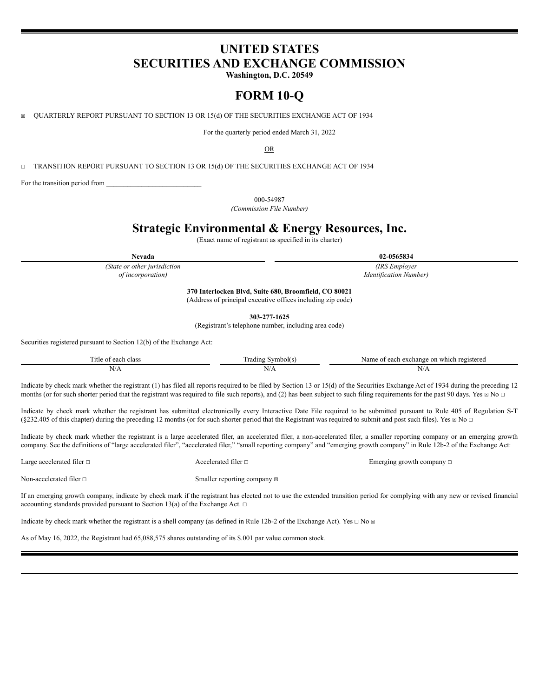# **UNITED STATES SECURITIES AND EXCHANGE COMMISSION**

**Washington, D.C. 20549**

# **FORM 10-Q**

☒ QUARTERLY REPORT PURSUANT TO SECTION 13 OR 15(d) OF THE SECURITIES EXCHANGE ACT OF 1934

For the quarterly period ended March 31, 2022

OR

☐ TRANSITION REPORT PURSUANT TO SECTION 13 OR 15(d) OF THE SECURITIES EXCHANGE ACT OF 1934

For the transition period from

000-54987

*(Commission File Number)*

# **Strategic Environmental & Energy Resources, Inc.**

(Exact name of registrant as specified in its charter)

*(State or other jurisdiction of incorporation)*

**Nevada 02-0565834**

*(IRS Employer Identification Number)*

**370 Interlocken Blvd, Suite 680, Broomfield, CO 80021** (Address of principal executive offices including zip code)

**303-277-1625**

(Registrant's telephone number, including area code)

Securities registered pursuant to Section 12(b) of the Exchange Act:

| litle<br>clas:                      | <b>CONTRACT</b><br>radın<br>mbolt:  | <b>s</b> ame<br>registe<br>on<br>whi<br>ഛ<br>_xchange_<br>rec<br>eacn |  |  |  |  |
|-------------------------------------|-------------------------------------|-----------------------------------------------------------------------|--|--|--|--|
| . .                                 | $N/r$ .                             | יי                                                                    |  |  |  |  |
| the contract of the contract of the | the contract of the contract of the | the contract of the contract of the                                   |  |  |  |  |

Indicate by check mark whether the registrant (1) has filed all reports required to be filed by Section 13 or 15(d) of the Securities Exchange Act of 1934 during the preceding 12 months (or for such shorter period that the registrant was required to file such reports), and (2) has been subject to such filing requirements for the past 90 days. Yes  $\boxtimes$  No  $\Box$ 

Indicate by check mark whether the registrant has submitted electronically every Interactive Date File required to be submitted pursuant to Rule 405 of Regulation S-T (§232.405 of this chapter) during the preceding 12 months (or for such shorter period that the Registrant was required to submit and post such files). Yes  $\boxtimes$  No  $\Box$ 

Indicate by check mark whether the registrant is a large accelerated filer, an accelerated filer, a non-accelerated filer, a smaller reporting company or an emerging growth company. See the definitions of "large accelerated filer", "accelerated filer," "small reporting company" and "emerging growth company" in Rule 12b-2 of the Exchange Act:

Large accelerated filer □ Accelerated filer □ Accelerated filer □ Emerging growth company □

Non-accelerated filer □ Smaller reporting company ⊠

If an emerging growth company, indicate by check mark if the registrant has elected not to use the extended transition period for complying with any new or revised financial accounting standards provided pursuant to Section 13(a) of the Exchange Act.  $\Box$ 

Indicate by check mark whether the registrant is a shell company (as defined in Rule 12b-2 of the Exchange Act). Yes  $\Box$  No  $\Box$ 

As of May 16, 2022, the Registrant had 65,088,575 shares outstanding of its \$.001 par value common stock.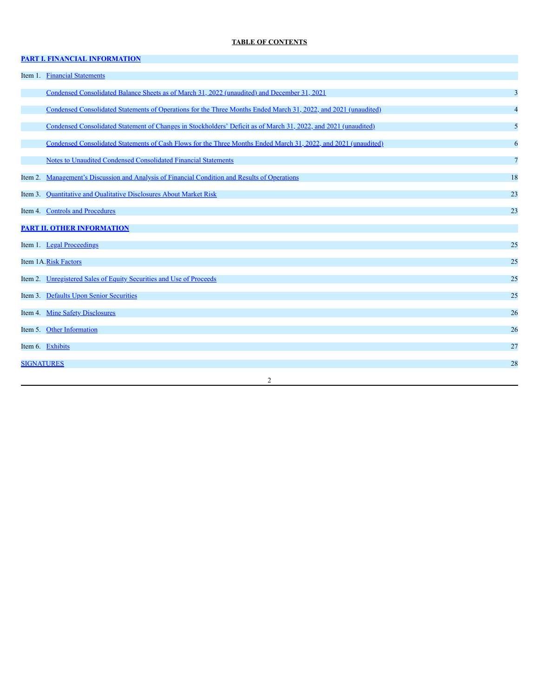# **TABLE OF CONTENTS**

|         | PART I. FINANCIAL INFORMATION                                                                                   |                         |
|---------|-----------------------------------------------------------------------------------------------------------------|-------------------------|
|         | Item 1. Financial Statements                                                                                    |                         |
|         | Condensed Consolidated Balance Sheets as of March 31, 2022 (unaudited) and December 31, 2021                    | $\overline{\mathbf{3}}$ |
|         | Condensed Consolidated Statements of Operations for the Three Months Ended March 31, 2022, and 2021 (unaudited) | $\overline{4}$          |
|         | Condensed Consolidated Statement of Changes in Stockholders' Deficit as of March 31, 2022, and 2021 (unaudited) | 5                       |
|         | Condensed Consolidated Statements of Cash Flows for the Three Months Ended March 31, 2022, and 2021 (unaudited) | 6                       |
|         | Notes to Unaudited Condensed Consolidated Financial Statements                                                  | $\overline{7}$          |
| Item 2. | <u>Management's Discussion and Analysis of Financial Condition and Results of Operations</u>                    | 18                      |
|         | Item 3. Quantitative and Qualitative Disclosures About Market Risk                                              | 23                      |
|         | Item 4. Controls and Procedures                                                                                 | 23                      |
|         | PART II. OTHER INFORMATION                                                                                      |                         |
|         | Item 1. Legal Proceedings                                                                                       | 25                      |
|         | Item 1A.Risk Factors                                                                                            | 25                      |
|         | Item 2. Unregistered Sales of Equity Securities and Use of Proceeds                                             | 25                      |
|         | Item 3. Defaults Upon Senior Securities                                                                         | 25                      |
|         | Item 4. Mine Safety Disclosures                                                                                 | 26                      |
|         | Item 5. Other Information                                                                                       | 26                      |
|         | Item 6. Exhibits                                                                                                | 27                      |
|         | <b>SIGNATURES</b>                                                                                               | 28                      |
|         | $\overline{2}$                                                                                                  |                         |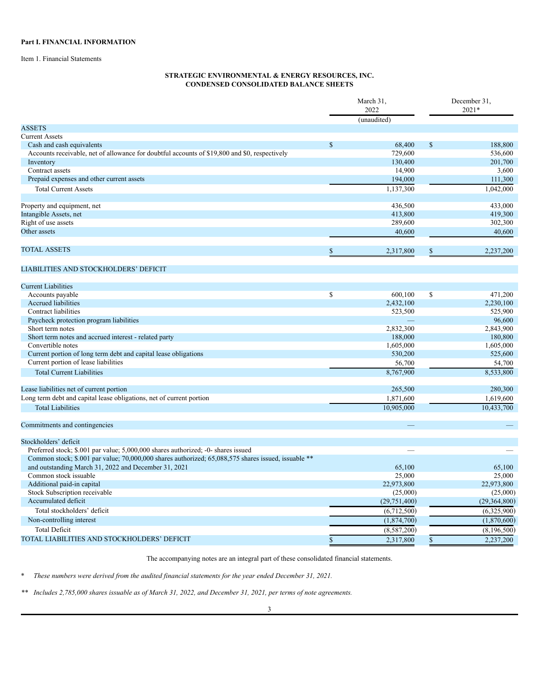# <span id="page-2-0"></span>**Part I. FINANCIAL INFORMATION**

<span id="page-2-2"></span><span id="page-2-1"></span>Item 1. Financial Statements

# **STRATEGIC ENVIRONMENTAL & ENERGY RESOURCES, INC. CONDENSED CONSOLIDATED BALANCE SHEETS**

| (unaudited)<br><b>ASSETS</b><br><b>Current Assets</b><br>$\mathbf S$<br>68,400<br>$\mathbb{S}$<br>188,800<br>Cash and cash equivalents<br>Accounts receivable, net of allowance for doubtful accounts of \$19,800 and \$0, respectively<br>729,600<br>536,600<br>Inventory<br>130,400<br>201,700<br>14,900<br>Contract assets<br>3,600<br>Prepaid expenses and other current assets<br>194,000<br>111,300<br>1,137,300<br>1,042,000<br><b>Total Current Assets</b><br>Property and equipment, net<br>436,500<br>433.000<br>Intangible Assets, net<br>413,800<br>419,300<br>Right of use assets<br>289,600<br>302,300<br>Other assets<br>40,600<br>40,600<br><b>TOTAL ASSETS</b><br>2,237,200<br>2,317,800<br>\$<br>S<br><b>LIABILITIES AND STOCKHOLDERS' DEFICIT</b><br><b>Current Liabilities</b><br>$\mathbb{S}$<br>\$<br>Accounts payable<br>600,100<br>471,200<br><b>Accrued liabilities</b><br>2,230,100<br>2,432,100<br>Contract liabilities<br>523,500<br>525,900<br>Paycheck protection program liabilities<br>96.600<br>2,832,300<br>2,843,900<br>Short term notes<br>Short term notes and accrued interest - related party<br>188,000<br>180,800<br>Convertible notes<br>1,605,000<br>1,605,000<br>Current portion of long term debt and capital lease obligations<br>530,200<br>525,600<br>Current portion of lease liabilities<br>56,700<br>54,700<br>8,767,900<br>8,533,800<br><b>Total Current Liabilities</b><br>280,300<br>Lease liabilities net of current portion<br>265,500<br>Long term debt and capital lease obligations, net of current portion<br>1,871,600<br>1,619,600<br>10,905,000<br><b>Total Liabilities</b><br>10,433,700<br>Commitments and contingencies<br>Stockholders' deficit<br>Preferred stock; \$.001 par value; 5,000,000 shares authorized; -0- shares issued<br>Common stock; \$.001 par value; 70,000,000 shares authorized; 65,088,575 shares issued, issuable **<br>and outstanding March 31, 2022 and December 31, 2021<br>65,100<br>65.100<br>Common stock issuable<br>25,000<br>25,000<br>Additional paid-in capital<br>22,973,800<br>22,973,800<br>Stock Subscription receivable<br>(25,000)<br>(25,000)<br>Accumulated deficit<br>(29, 751, 400)<br>(29, 364, 800)<br>Total stockholders' deficit<br>(6,325,900)<br>$\overline{(6,712,500)}$<br>Non-controlling interest<br>(1,874,700)<br>(1,870,600)<br><b>Total Deficit</b><br>(8,587,200)<br>(8,196,500)<br>TOTAL LIABILITIES AND STOCKHOLDERS' DEFICIT<br>2,317,800<br>2,237,200<br>\$<br>\$ | March 31,<br>2022 |  |  | December 31,<br>$2021*$ |
|------------------------------------------------------------------------------------------------------------------------------------------------------------------------------------------------------------------------------------------------------------------------------------------------------------------------------------------------------------------------------------------------------------------------------------------------------------------------------------------------------------------------------------------------------------------------------------------------------------------------------------------------------------------------------------------------------------------------------------------------------------------------------------------------------------------------------------------------------------------------------------------------------------------------------------------------------------------------------------------------------------------------------------------------------------------------------------------------------------------------------------------------------------------------------------------------------------------------------------------------------------------------------------------------------------------------------------------------------------------------------------------------------------------------------------------------------------------------------------------------------------------------------------------------------------------------------------------------------------------------------------------------------------------------------------------------------------------------------------------------------------------------------------------------------------------------------------------------------------------------------------------------------------------------------------------------------------------------------------------------------------------------------------------------------------------------------------------------------------------------------------------------------------------------------------------------------------------------------------------------------------------------------------------------------------------------------------------------------------------------------------------------------------------------------------------------------------------------------------------------------|-------------------|--|--|-------------------------|
|                                                                                                                                                                                                                                                                                                                                                                                                                                                                                                                                                                                                                                                                                                                                                                                                                                                                                                                                                                                                                                                                                                                                                                                                                                                                                                                                                                                                                                                                                                                                                                                                                                                                                                                                                                                                                                                                                                                                                                                                                                                                                                                                                                                                                                                                                                                                                                                                                                                                                                      |                   |  |  |                         |
|                                                                                                                                                                                                                                                                                                                                                                                                                                                                                                                                                                                                                                                                                                                                                                                                                                                                                                                                                                                                                                                                                                                                                                                                                                                                                                                                                                                                                                                                                                                                                                                                                                                                                                                                                                                                                                                                                                                                                                                                                                                                                                                                                                                                                                                                                                                                                                                                                                                                                                      |                   |  |  |                         |
|                                                                                                                                                                                                                                                                                                                                                                                                                                                                                                                                                                                                                                                                                                                                                                                                                                                                                                                                                                                                                                                                                                                                                                                                                                                                                                                                                                                                                                                                                                                                                                                                                                                                                                                                                                                                                                                                                                                                                                                                                                                                                                                                                                                                                                                                                                                                                                                                                                                                                                      |                   |  |  |                         |
|                                                                                                                                                                                                                                                                                                                                                                                                                                                                                                                                                                                                                                                                                                                                                                                                                                                                                                                                                                                                                                                                                                                                                                                                                                                                                                                                                                                                                                                                                                                                                                                                                                                                                                                                                                                                                                                                                                                                                                                                                                                                                                                                                                                                                                                                                                                                                                                                                                                                                                      |                   |  |  |                         |
|                                                                                                                                                                                                                                                                                                                                                                                                                                                                                                                                                                                                                                                                                                                                                                                                                                                                                                                                                                                                                                                                                                                                                                                                                                                                                                                                                                                                                                                                                                                                                                                                                                                                                                                                                                                                                                                                                                                                                                                                                                                                                                                                                                                                                                                                                                                                                                                                                                                                                                      |                   |  |  |                         |
|                                                                                                                                                                                                                                                                                                                                                                                                                                                                                                                                                                                                                                                                                                                                                                                                                                                                                                                                                                                                                                                                                                                                                                                                                                                                                                                                                                                                                                                                                                                                                                                                                                                                                                                                                                                                                                                                                                                                                                                                                                                                                                                                                                                                                                                                                                                                                                                                                                                                                                      |                   |  |  |                         |
|                                                                                                                                                                                                                                                                                                                                                                                                                                                                                                                                                                                                                                                                                                                                                                                                                                                                                                                                                                                                                                                                                                                                                                                                                                                                                                                                                                                                                                                                                                                                                                                                                                                                                                                                                                                                                                                                                                                                                                                                                                                                                                                                                                                                                                                                                                                                                                                                                                                                                                      |                   |  |  |                         |
|                                                                                                                                                                                                                                                                                                                                                                                                                                                                                                                                                                                                                                                                                                                                                                                                                                                                                                                                                                                                                                                                                                                                                                                                                                                                                                                                                                                                                                                                                                                                                                                                                                                                                                                                                                                                                                                                                                                                                                                                                                                                                                                                                                                                                                                                                                                                                                                                                                                                                                      |                   |  |  |                         |
|                                                                                                                                                                                                                                                                                                                                                                                                                                                                                                                                                                                                                                                                                                                                                                                                                                                                                                                                                                                                                                                                                                                                                                                                                                                                                                                                                                                                                                                                                                                                                                                                                                                                                                                                                                                                                                                                                                                                                                                                                                                                                                                                                                                                                                                                                                                                                                                                                                                                                                      |                   |  |  |                         |
|                                                                                                                                                                                                                                                                                                                                                                                                                                                                                                                                                                                                                                                                                                                                                                                                                                                                                                                                                                                                                                                                                                                                                                                                                                                                                                                                                                                                                                                                                                                                                                                                                                                                                                                                                                                                                                                                                                                                                                                                                                                                                                                                                                                                                                                                                                                                                                                                                                                                                                      |                   |  |  |                         |
|                                                                                                                                                                                                                                                                                                                                                                                                                                                                                                                                                                                                                                                                                                                                                                                                                                                                                                                                                                                                                                                                                                                                                                                                                                                                                                                                                                                                                                                                                                                                                                                                                                                                                                                                                                                                                                                                                                                                                                                                                                                                                                                                                                                                                                                                                                                                                                                                                                                                                                      |                   |  |  |                         |
|                                                                                                                                                                                                                                                                                                                                                                                                                                                                                                                                                                                                                                                                                                                                                                                                                                                                                                                                                                                                                                                                                                                                                                                                                                                                                                                                                                                                                                                                                                                                                                                                                                                                                                                                                                                                                                                                                                                                                                                                                                                                                                                                                                                                                                                                                                                                                                                                                                                                                                      |                   |  |  |                         |
|                                                                                                                                                                                                                                                                                                                                                                                                                                                                                                                                                                                                                                                                                                                                                                                                                                                                                                                                                                                                                                                                                                                                                                                                                                                                                                                                                                                                                                                                                                                                                                                                                                                                                                                                                                                                                                                                                                                                                                                                                                                                                                                                                                                                                                                                                                                                                                                                                                                                                                      |                   |  |  |                         |
|                                                                                                                                                                                                                                                                                                                                                                                                                                                                                                                                                                                                                                                                                                                                                                                                                                                                                                                                                                                                                                                                                                                                                                                                                                                                                                                                                                                                                                                                                                                                                                                                                                                                                                                                                                                                                                                                                                                                                                                                                                                                                                                                                                                                                                                                                                                                                                                                                                                                                                      |                   |  |  |                         |
|                                                                                                                                                                                                                                                                                                                                                                                                                                                                                                                                                                                                                                                                                                                                                                                                                                                                                                                                                                                                                                                                                                                                                                                                                                                                                                                                                                                                                                                                                                                                                                                                                                                                                                                                                                                                                                                                                                                                                                                                                                                                                                                                                                                                                                                                                                                                                                                                                                                                                                      |                   |  |  |                         |
|                                                                                                                                                                                                                                                                                                                                                                                                                                                                                                                                                                                                                                                                                                                                                                                                                                                                                                                                                                                                                                                                                                                                                                                                                                                                                                                                                                                                                                                                                                                                                                                                                                                                                                                                                                                                                                                                                                                                                                                                                                                                                                                                                                                                                                                                                                                                                                                                                                                                                                      |                   |  |  |                         |
|                                                                                                                                                                                                                                                                                                                                                                                                                                                                                                                                                                                                                                                                                                                                                                                                                                                                                                                                                                                                                                                                                                                                                                                                                                                                                                                                                                                                                                                                                                                                                                                                                                                                                                                                                                                                                                                                                                                                                                                                                                                                                                                                                                                                                                                                                                                                                                                                                                                                                                      |                   |  |  |                         |
|                                                                                                                                                                                                                                                                                                                                                                                                                                                                                                                                                                                                                                                                                                                                                                                                                                                                                                                                                                                                                                                                                                                                                                                                                                                                                                                                                                                                                                                                                                                                                                                                                                                                                                                                                                                                                                                                                                                                                                                                                                                                                                                                                                                                                                                                                                                                                                                                                                                                                                      |                   |  |  |                         |
|                                                                                                                                                                                                                                                                                                                                                                                                                                                                                                                                                                                                                                                                                                                                                                                                                                                                                                                                                                                                                                                                                                                                                                                                                                                                                                                                                                                                                                                                                                                                                                                                                                                                                                                                                                                                                                                                                                                                                                                                                                                                                                                                                                                                                                                                                                                                                                                                                                                                                                      |                   |  |  |                         |
|                                                                                                                                                                                                                                                                                                                                                                                                                                                                                                                                                                                                                                                                                                                                                                                                                                                                                                                                                                                                                                                                                                                                                                                                                                                                                                                                                                                                                                                                                                                                                                                                                                                                                                                                                                                                                                                                                                                                                                                                                                                                                                                                                                                                                                                                                                                                                                                                                                                                                                      |                   |  |  |                         |
|                                                                                                                                                                                                                                                                                                                                                                                                                                                                                                                                                                                                                                                                                                                                                                                                                                                                                                                                                                                                                                                                                                                                                                                                                                                                                                                                                                                                                                                                                                                                                                                                                                                                                                                                                                                                                                                                                                                                                                                                                                                                                                                                                                                                                                                                                                                                                                                                                                                                                                      |                   |  |  |                         |
|                                                                                                                                                                                                                                                                                                                                                                                                                                                                                                                                                                                                                                                                                                                                                                                                                                                                                                                                                                                                                                                                                                                                                                                                                                                                                                                                                                                                                                                                                                                                                                                                                                                                                                                                                                                                                                                                                                                                                                                                                                                                                                                                                                                                                                                                                                                                                                                                                                                                                                      |                   |  |  |                         |
|                                                                                                                                                                                                                                                                                                                                                                                                                                                                                                                                                                                                                                                                                                                                                                                                                                                                                                                                                                                                                                                                                                                                                                                                                                                                                                                                                                                                                                                                                                                                                                                                                                                                                                                                                                                                                                                                                                                                                                                                                                                                                                                                                                                                                                                                                                                                                                                                                                                                                                      |                   |  |  |                         |
|                                                                                                                                                                                                                                                                                                                                                                                                                                                                                                                                                                                                                                                                                                                                                                                                                                                                                                                                                                                                                                                                                                                                                                                                                                                                                                                                                                                                                                                                                                                                                                                                                                                                                                                                                                                                                                                                                                                                                                                                                                                                                                                                                                                                                                                                                                                                                                                                                                                                                                      |                   |  |  |                         |
|                                                                                                                                                                                                                                                                                                                                                                                                                                                                                                                                                                                                                                                                                                                                                                                                                                                                                                                                                                                                                                                                                                                                                                                                                                                                                                                                                                                                                                                                                                                                                                                                                                                                                                                                                                                                                                                                                                                                                                                                                                                                                                                                                                                                                                                                                                                                                                                                                                                                                                      |                   |  |  |                         |
|                                                                                                                                                                                                                                                                                                                                                                                                                                                                                                                                                                                                                                                                                                                                                                                                                                                                                                                                                                                                                                                                                                                                                                                                                                                                                                                                                                                                                                                                                                                                                                                                                                                                                                                                                                                                                                                                                                                                                                                                                                                                                                                                                                                                                                                                                                                                                                                                                                                                                                      |                   |  |  |                         |
|                                                                                                                                                                                                                                                                                                                                                                                                                                                                                                                                                                                                                                                                                                                                                                                                                                                                                                                                                                                                                                                                                                                                                                                                                                                                                                                                                                                                                                                                                                                                                                                                                                                                                                                                                                                                                                                                                                                                                                                                                                                                                                                                                                                                                                                                                                                                                                                                                                                                                                      |                   |  |  |                         |
|                                                                                                                                                                                                                                                                                                                                                                                                                                                                                                                                                                                                                                                                                                                                                                                                                                                                                                                                                                                                                                                                                                                                                                                                                                                                                                                                                                                                                                                                                                                                                                                                                                                                                                                                                                                                                                                                                                                                                                                                                                                                                                                                                                                                                                                                                                                                                                                                                                                                                                      |                   |  |  |                         |
|                                                                                                                                                                                                                                                                                                                                                                                                                                                                                                                                                                                                                                                                                                                                                                                                                                                                                                                                                                                                                                                                                                                                                                                                                                                                                                                                                                                                                                                                                                                                                                                                                                                                                                                                                                                                                                                                                                                                                                                                                                                                                                                                                                                                                                                                                                                                                                                                                                                                                                      |                   |  |  |                         |
|                                                                                                                                                                                                                                                                                                                                                                                                                                                                                                                                                                                                                                                                                                                                                                                                                                                                                                                                                                                                                                                                                                                                                                                                                                                                                                                                                                                                                                                                                                                                                                                                                                                                                                                                                                                                                                                                                                                                                                                                                                                                                                                                                                                                                                                                                                                                                                                                                                                                                                      |                   |  |  |                         |
|                                                                                                                                                                                                                                                                                                                                                                                                                                                                                                                                                                                                                                                                                                                                                                                                                                                                                                                                                                                                                                                                                                                                                                                                                                                                                                                                                                                                                                                                                                                                                                                                                                                                                                                                                                                                                                                                                                                                                                                                                                                                                                                                                                                                                                                                                                                                                                                                                                                                                                      |                   |  |  |                         |
|                                                                                                                                                                                                                                                                                                                                                                                                                                                                                                                                                                                                                                                                                                                                                                                                                                                                                                                                                                                                                                                                                                                                                                                                                                                                                                                                                                                                                                                                                                                                                                                                                                                                                                                                                                                                                                                                                                                                                                                                                                                                                                                                                                                                                                                                                                                                                                                                                                                                                                      |                   |  |  |                         |
|                                                                                                                                                                                                                                                                                                                                                                                                                                                                                                                                                                                                                                                                                                                                                                                                                                                                                                                                                                                                                                                                                                                                                                                                                                                                                                                                                                                                                                                                                                                                                                                                                                                                                                                                                                                                                                                                                                                                                                                                                                                                                                                                                                                                                                                                                                                                                                                                                                                                                                      |                   |  |  |                         |
|                                                                                                                                                                                                                                                                                                                                                                                                                                                                                                                                                                                                                                                                                                                                                                                                                                                                                                                                                                                                                                                                                                                                                                                                                                                                                                                                                                                                                                                                                                                                                                                                                                                                                                                                                                                                                                                                                                                                                                                                                                                                                                                                                                                                                                                                                                                                                                                                                                                                                                      |                   |  |  |                         |
|                                                                                                                                                                                                                                                                                                                                                                                                                                                                                                                                                                                                                                                                                                                                                                                                                                                                                                                                                                                                                                                                                                                                                                                                                                                                                                                                                                                                                                                                                                                                                                                                                                                                                                                                                                                                                                                                                                                                                                                                                                                                                                                                                                                                                                                                                                                                                                                                                                                                                                      |                   |  |  |                         |
|                                                                                                                                                                                                                                                                                                                                                                                                                                                                                                                                                                                                                                                                                                                                                                                                                                                                                                                                                                                                                                                                                                                                                                                                                                                                                                                                                                                                                                                                                                                                                                                                                                                                                                                                                                                                                                                                                                                                                                                                                                                                                                                                                                                                                                                                                                                                                                                                                                                                                                      |                   |  |  |                         |
|                                                                                                                                                                                                                                                                                                                                                                                                                                                                                                                                                                                                                                                                                                                                                                                                                                                                                                                                                                                                                                                                                                                                                                                                                                                                                                                                                                                                                                                                                                                                                                                                                                                                                                                                                                                                                                                                                                                                                                                                                                                                                                                                                                                                                                                                                                                                                                                                                                                                                                      |                   |  |  |                         |
|                                                                                                                                                                                                                                                                                                                                                                                                                                                                                                                                                                                                                                                                                                                                                                                                                                                                                                                                                                                                                                                                                                                                                                                                                                                                                                                                                                                                                                                                                                                                                                                                                                                                                                                                                                                                                                                                                                                                                                                                                                                                                                                                                                                                                                                                                                                                                                                                                                                                                                      |                   |  |  |                         |
|                                                                                                                                                                                                                                                                                                                                                                                                                                                                                                                                                                                                                                                                                                                                                                                                                                                                                                                                                                                                                                                                                                                                                                                                                                                                                                                                                                                                                                                                                                                                                                                                                                                                                                                                                                                                                                                                                                                                                                                                                                                                                                                                                                                                                                                                                                                                                                                                                                                                                                      |                   |  |  |                         |
|                                                                                                                                                                                                                                                                                                                                                                                                                                                                                                                                                                                                                                                                                                                                                                                                                                                                                                                                                                                                                                                                                                                                                                                                                                                                                                                                                                                                                                                                                                                                                                                                                                                                                                                                                                                                                                                                                                                                                                                                                                                                                                                                                                                                                                                                                                                                                                                                                                                                                                      |                   |  |  |                         |
|                                                                                                                                                                                                                                                                                                                                                                                                                                                                                                                                                                                                                                                                                                                                                                                                                                                                                                                                                                                                                                                                                                                                                                                                                                                                                                                                                                                                                                                                                                                                                                                                                                                                                                                                                                                                                                                                                                                                                                                                                                                                                                                                                                                                                                                                                                                                                                                                                                                                                                      |                   |  |  |                         |
|                                                                                                                                                                                                                                                                                                                                                                                                                                                                                                                                                                                                                                                                                                                                                                                                                                                                                                                                                                                                                                                                                                                                                                                                                                                                                                                                                                                                                                                                                                                                                                                                                                                                                                                                                                                                                                                                                                                                                                                                                                                                                                                                                                                                                                                                                                                                                                                                                                                                                                      |                   |  |  |                         |
|                                                                                                                                                                                                                                                                                                                                                                                                                                                                                                                                                                                                                                                                                                                                                                                                                                                                                                                                                                                                                                                                                                                                                                                                                                                                                                                                                                                                                                                                                                                                                                                                                                                                                                                                                                                                                                                                                                                                                                                                                                                                                                                                                                                                                                                                                                                                                                                                                                                                                                      |                   |  |  |                         |

The accompanying notes are an integral part of these consolidated financial statements.

\* *These numbers were derived from the audited financial statements for the year ended December 31, 2021.*

\*\* Includes 2,785,000 shares issuable as of March 31, 2022, and December 31, 2021, per terms of note agreements.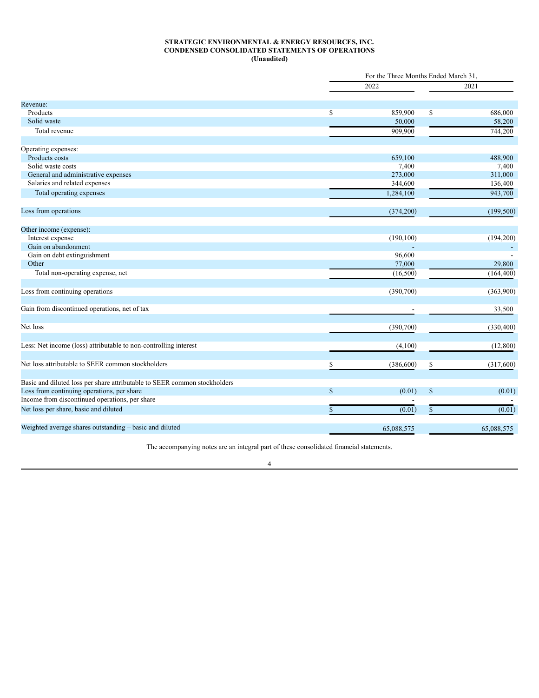# **STRATEGIC ENVIRONMENTAL & ENERGY RESOURCES, INC. CONDENSED CONSOLIDATED STATEMENTS OF OPERATIONS (Unaudited)**

<span id="page-3-0"></span>

|                                                                                                                         | For the Three Months Ended March 31, |            |               |            |  |
|-------------------------------------------------------------------------------------------------------------------------|--------------------------------------|------------|---------------|------------|--|
|                                                                                                                         |                                      | 2022       |               | 2021       |  |
| Revenue:                                                                                                                |                                      |            |               |            |  |
| Products                                                                                                                | \$                                   | 859,900    | \$            | 686,000    |  |
| Solid waste                                                                                                             |                                      | 50.000     |               | 58,200     |  |
| Total revenue                                                                                                           |                                      | 909,900    |               | 744,200    |  |
| Operating expenses:                                                                                                     |                                      |            |               |            |  |
| Products costs                                                                                                          |                                      | 659,100    |               | 488,900    |  |
| Solid waste costs                                                                                                       |                                      | 7,400      |               | 7,400      |  |
| General and administrative expenses                                                                                     |                                      | 273,000    |               | 311,000    |  |
| Salaries and related expenses                                                                                           |                                      | 344,600    |               | 136,400    |  |
| Total operating expenses                                                                                                |                                      | 1,284,100  |               | 943,700    |  |
| Loss from operations                                                                                                    |                                      | (374,200)  |               | (199, 500) |  |
| Other income (expense):                                                                                                 |                                      |            |               |            |  |
| Interest expense                                                                                                        |                                      | (190, 100) |               | (194, 200) |  |
| Gain on abandonment                                                                                                     |                                      |            |               |            |  |
| Gain on debt extinguishment                                                                                             |                                      | 96,600     |               |            |  |
| Other                                                                                                                   |                                      | 77,000     |               | 29,800     |  |
| Total non-operating expense, net                                                                                        |                                      | (16,500)   |               | (164, 400) |  |
| Loss from continuing operations                                                                                         |                                      | (390, 700) |               | (363,900)  |  |
| Gain from discontinued operations, net of tax                                                                           |                                      |            |               | 33,500     |  |
| Net loss                                                                                                                |                                      | (390, 700) |               | (330, 400) |  |
| Less: Net income (loss) attributable to non-controlling interest                                                        |                                      | (4,100)    |               | (12,800)   |  |
|                                                                                                                         |                                      |            |               |            |  |
| Net loss attributable to SEER common stockholders                                                                       | \$.                                  | (386,600)  | \$            | (317,600)  |  |
|                                                                                                                         |                                      |            |               |            |  |
| Basic and diluted loss per share attributable to SEER common stockholders<br>Loss from continuing operations, per share | $\mathbb{S}$                         | (0.01)     | $\mathbb{S}$  | (0.01)     |  |
| Income from discontinued operations, per share                                                                          |                                      |            |               |            |  |
|                                                                                                                         |                                      |            |               |            |  |
| Net loss per share, basic and diluted                                                                                   | S                                    | (0.01)     | $\mathcal{S}$ | (0.01)     |  |
| Weighted average shares outstanding - basic and diluted                                                                 |                                      | 65,088,575 |               | 65,088,575 |  |

The accompanying notes are an integral part of these consolidated financial statements.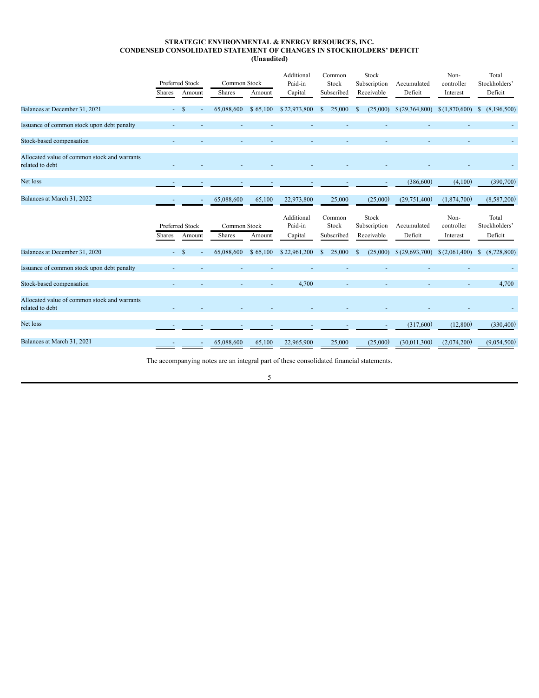# **STRATEGIC ENVIRONMENTAL & ENERGY RESOURCES, INC. CONDENSED CONSOLIDATED STATEMENT OF CHANGES IN STOCKHOLDERS' DEFICIT (Unaudited)**

<span id="page-4-0"></span>

|                                                                 | Shares | <b>Preferred Stock</b><br>Amount | Common Stock<br>Shares | Amount   | Additional<br>Paid-in<br>Capital | Common<br>Stock<br>Subscribed | Stock<br>Subscription<br>Receivable | Accumulated<br>Deficit | Non-<br>controller<br>Interest | Total<br>Stockholders'<br>Deficit |
|-----------------------------------------------------------------|--------|----------------------------------|------------------------|----------|----------------------------------|-------------------------------|-------------------------------------|------------------------|--------------------------------|-----------------------------------|
| Balances at December 31, 2021                                   |        | <sup>\$</sup>                    | 65,088,600             | \$65,100 | \$22,973,800                     | 25,000<br>\$.                 | (25,000)<br>-\$                     | \$(29,364,800)         | \$(1,870,600)                  | (8,196,500)<br><sup>S</sup>       |
| Issuance of common stock upon debt penalty                      |        |                                  |                        |          |                                  |                               |                                     |                        |                                |                                   |
| Stock-based compensation                                        |        |                                  |                        |          |                                  |                               |                                     |                        |                                |                                   |
| Allocated value of common stock and warrants<br>related to debt |        |                                  |                        |          |                                  |                               |                                     |                        |                                |                                   |
| Net loss                                                        |        |                                  |                        |          |                                  |                               |                                     | (386,600)              | (4,100)                        | (390,700)                         |
| Balances at March 31, 2022                                      |        |                                  | 65,088,600             | 65,100   | 22,973,800                       | 25,000                        | (25,000)                            | (29, 751, 400)         | (1,874,700)                    | (8,587,200)                       |
|                                                                 | Shares | <b>Preferred Stock</b><br>Amount | Common Stock<br>Shares | Amount   | Additional<br>Paid-in<br>Capital | Common<br>Stock<br>Subscribed | Stock<br>Subscription<br>Receivable | Accumulated<br>Deficit | Non-<br>controller<br>Interest | Total<br>Stockholders'<br>Deficit |
| Balances at December 31, 2020                                   |        | <sup>\$</sup>                    | 65,088,600             | \$65,100 | \$22,961,200                     | 25,000<br><sup>\$</sup>       | (25,000)<br>-\$                     | \$(29,693,700)         | \$(2,061,400)                  | (8,728,800)<br>-S                 |
| Issuance of common stock upon debt penalty                      |        |                                  |                        |          |                                  |                               |                                     |                        |                                |                                   |
| Stock-based compensation                                        |        |                                  |                        |          | 4,700                            |                               |                                     |                        |                                | 4,700                             |
| Allocated value of common stock and warrants<br>related to debt |        |                                  |                        |          |                                  |                               |                                     |                        |                                |                                   |
| Net loss                                                        |        |                                  |                        |          |                                  |                               |                                     | (317,600)              | (12,800)                       | (330, 400)                        |
| Balances at March 31, 2021                                      |        |                                  | 65,088,600             | 65,100   | 22,965,900                       | 25,000                        | (25,000)                            | (30,011,300)           | (2,074,200)                    | (9,054,500)                       |

The accompanying notes are an integral part of these consolidated financial statements.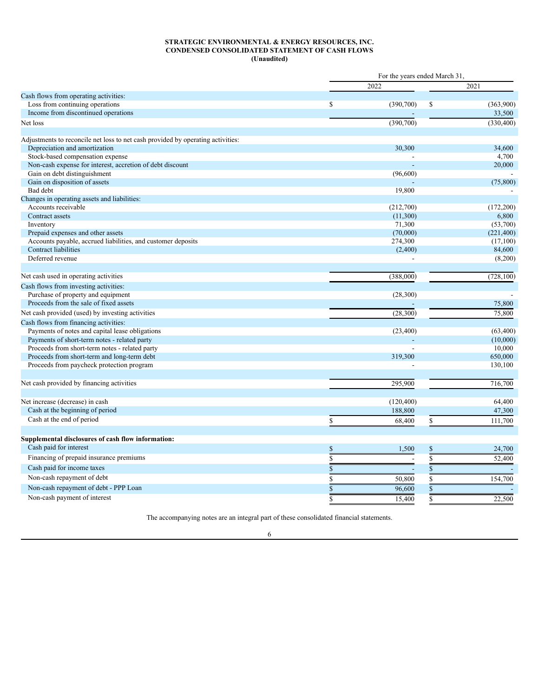# **STRATEGIC ENVIRONMENTAL & ENERGY RESOURCES, INC. CONDENSED CONSOLIDATED STATEMENT OF CASH FLOWS (Unaudited)**

<span id="page-5-0"></span>

|                                                                                 | For the years ended March 31 |            |                         |            |
|---------------------------------------------------------------------------------|------------------------------|------------|-------------------------|------------|
|                                                                                 |                              | 2022       |                         | 2021       |
| Cash flows from operating activities:                                           |                              |            |                         |            |
| Loss from continuing operations                                                 | $\mathbb{S}$                 | (390, 700) | \$                      | (363,900)  |
| Income from discontinued operations                                             |                              |            |                         | 33,500     |
| Net loss                                                                        |                              | (390,700)  |                         | (330, 400) |
|                                                                                 |                              |            |                         |            |
| Adjustments to reconcile net loss to net cash provided by operating activities: |                              |            |                         |            |
| Depreciation and amortization                                                   |                              | 30.300     |                         | 34.600     |
| Stock-based compensation expense                                                |                              |            |                         | 4,700      |
| Non-cash expense for interest, accretion of debt discount                       |                              |            |                         | 20,000     |
| Gain on debt distinguishment                                                    |                              | (96,600)   |                         |            |
| Gain on disposition of assets<br>Bad debt                                       |                              |            |                         | (75,800)   |
|                                                                                 |                              | 19,800     |                         |            |
| Changes in operating assets and liabilities:<br>Accounts receivable             |                              | (212,700)  |                         | (172,200)  |
| Contract assets                                                                 |                              | (11,300)   |                         | 6,800      |
| Inventory                                                                       |                              | 71,300     |                         | (53,700)   |
| Prepaid expenses and other assets                                               |                              | (70,000)   |                         | (221, 400) |
| Accounts payable, accrued liabilities, and customer deposits                    |                              | 274,300    |                         | (17,100)   |
| Contract liabilities                                                            |                              | (2,400)    |                         | 84,600     |
| Deferred revenue                                                                |                              |            |                         | (8,200)    |
|                                                                                 |                              |            |                         |            |
| Net cash used in operating activities                                           |                              | (388,000)  |                         | (728, 100) |
| Cash flows from investing activities:                                           |                              |            |                         |            |
| Purchase of property and equipment                                              |                              | (28,300)   |                         |            |
| Proceeds from the sale of fixed assets                                          |                              |            |                         | 75,800     |
| Net cash provided (used) by investing activities                                |                              | (28,300)   |                         | 75,800     |
| Cash flows from financing activities:                                           |                              |            |                         |            |
| Payments of notes and capital lease obligations                                 |                              | (23,400)   |                         | (63, 400)  |
| Payments of short-term notes - related party                                    |                              |            |                         | (10,000)   |
| Proceeds from short-term notes - related party                                  |                              |            |                         | 10,000     |
| Proceeds from short-term and long-term debt                                     |                              | 319,300    |                         | 650,000    |
| Proceeds from paycheck protection program                                       |                              |            |                         | 130,100    |
| Net cash provided by financing activities                                       |                              | 295,900    |                         | 716,700    |
|                                                                                 |                              |            |                         |            |
| Net increase (decrease) in cash                                                 |                              | (120, 400) |                         | 64,400     |
| Cash at the beginning of period                                                 |                              | 188,800    |                         | 47,300     |
| Cash at the end of period                                                       | $\mathbf S$                  | 68.400     | $\mathbf S$             | 111,700    |
|                                                                                 |                              |            |                         |            |
| Supplemental disclosures of cash flow information:                              |                              |            |                         |            |
| Cash paid for interest                                                          | \$                           | 1,500      | \$                      | 24,700     |
| Financing of prepaid insurance premiums                                         | \$                           |            | $\overline{\mathbb{S}}$ | 52,400     |
| Cash paid for income taxes                                                      | $\overline{\$}$              |            | $\overline{\mathbb{S}}$ |            |
| Non-cash repayment of debt                                                      | \$                           | 50,800     | $\overline{\$}$         | 154,700    |
| Non-cash repayment of debt - PPP Loan                                           | $\overline{\$}$              | 96,600     | $\overline{\$}$         |            |
| Non-cash payment of interest                                                    | $\mathbf S$                  | 15,400     | $\mathbf S$             | 22.500     |

The accompanying notes are an integral part of these consolidated financial statements.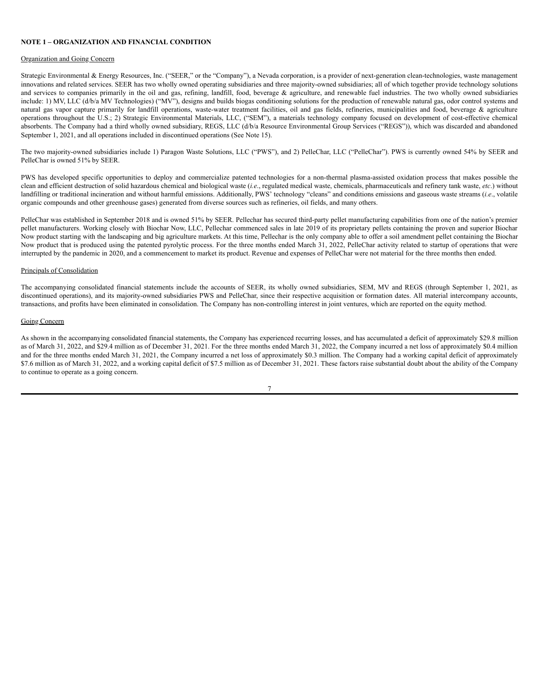# <span id="page-6-0"></span>**NOTE 1 – ORGANIZATION AND FINANCIAL CONDITION**

# Organization and Going Concern

Strategic Environmental & Energy Resources, Inc. ("SEER," or the "Company"), a Nevada corporation, is a provider of next-generation clean-technologies, waste management innovations and related services. SEER has two wholly owned operating subsidiaries and three majority-owned subsidiaries; all of which together provide technology solutions and services to companies primarily in the oil and gas, refining, landfill, food, beverage & agriculture, and renewable fuel industries. The two wholly owned subsidiaries include: 1) MV, LLC (d/b/a MV Technologies) ("MV"), designs and builds biogas conditioning solutions for the production of renewable natural gas, odor control systems and natural gas vapor capture primarily for landfill operations, waste-water treatment facilities, oil and gas fields, refineries, municipalities and food, beverage  $\&$  agriculture operations throughout the U.S.; 2) Strategic Environmental Materials, LLC, ("SEM"), a materials technology company focused on development of cost-effective chemical absorbents. The Company had a third wholly owned subsidiary, REGS, LLC (d/b/a Resource Environmental Group Services ("REGS")), which was discarded and abandoned September 1, 2021, and all operations included in discontinued operations (See Note 15).

The two majority-owned subsidiaries include 1) Paragon Waste Solutions, LLC ("PWS"), and 2) PelleChar, LLC ("PelleChar"). PWS is currently owned 54% by SEER and PelleChar is owned 51% by SEER.

PWS has developed specific opportunities to deploy and commercialize patented technologies for a non-thermal plasma-assisted oxidation process that makes possible the clean and efficient destruction of solid hazardous chemical and biological waste (*i.e*., regulated medical waste, chemicals, pharmaceuticals and refinery tank waste, *etc*.) without landfilling or traditional incineration and without harmful emissions. Additionally, PWS' technology "cleans" and conditions emissions and gaseous waste streams (*i.e*., volatile organic compounds and other greenhouse gases) generated from diverse sources such as refineries, oil fields, and many others.

PelleChar was established in September 2018 and is owned 51% by SEER. Pellechar has secured third-party pellet manufacturing capabilities from one of the nation's premier pellet manufacturers. Working closely with Biochar Now, LLC, Pellechar commenced sales in late 2019 of its proprietary pellets containing the proven and superior Biochar Now product starting with the landscaping and big agriculture markets. At this time, Pellechar is the only company able to offer a soil amendment pellet containing the Biochar Now product that is produced using the patented pyrolytic process. For the three months ended March 31, 2022, PelleChar activity related to startup of operations that were interrupted by the pandemic in 2020, and a commencement to market its product. Revenue and expenses of PelleChar were not material for the three months then ended.

## Principals of Consolidation

The accompanying consolidated financial statements include the accounts of SEER, its wholly owned subsidiaries, SEM, MV and REGS (through September 1, 2021, as discontinued operations), and its majority-owned subsidiaries PWS and PelleChar, since their respective acquisition or formation dates. All material intercompany accounts, transactions, and profits have been eliminated in consolidation. The Company has non-controlling interest in joint ventures, which are reported on the equity method.

### Going Concern

As shown in the accompanying consolidated financial statements, the Company has experienced recurring losses, and has accumulated a deficit of approximately \$29.8 million as of March 31, 2022, and \$29.4 million as of December 31, 2021. For the three months ended March 31, 2022, the Company incurred a net loss of approximately \$0.4 million and for the three months ended March 31, 2021, the Company incurred a net loss of approximately \$0.3 million. The Company had a working capital deficit of approximately \$7.6 million as of March 31, 2022, and a working capital deficit of \$7.5 million as of December 31, 2021. These factors raise substantial doubt about the ability of the Company to continue to operate as a going concern.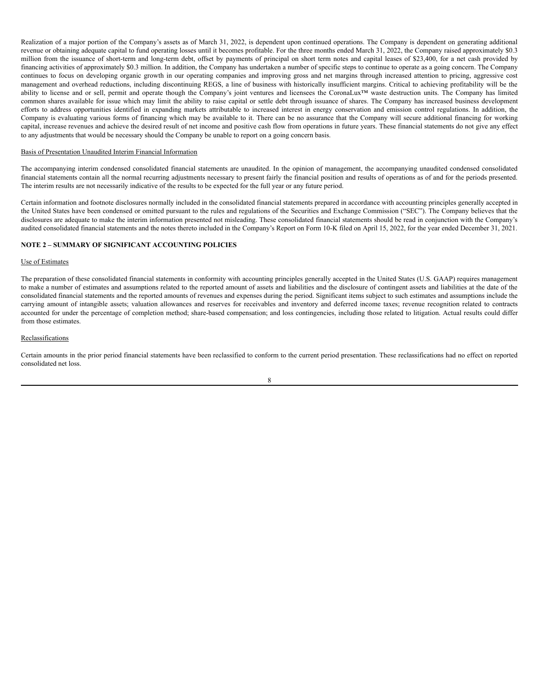Realization of a major portion of the Company's assets as of March 31, 2022, is dependent upon continued operations. The Company is dependent on generating additional revenue or obtaining adequate capital to fund operating losses until it becomes profitable. For the three months ended March 31, 2022, the Company raised approximately \$0.3 million from the issuance of short-term and long-term debt, offset by payments of principal on short term notes and capital leases of \$23,400, for a net cash provided by financing activities of approximately \$0.3 million. In addition, the Company has undertaken a number of specific steps to continue to operate as a going concern. The Company continues to focus on developing organic growth in our operating companies and improving gross and net margins through increased attention to pricing, aggressive cost management and overhead reductions, including discontinuing REGS, a line of business with historically insufficient margins. Critical to achieving profitability will be the ability to license and or sell, permit and operate though the Company's joint ventures and licensees the CoronaLux™ waste destruction units. The Company has limited common shares available for issue which may limit the ability to raise capital or settle debt through issuance of shares. The Company has increased business development efforts to address opportunities identified in expanding markets attributable to increased interest in energy conservation and emission control regulations. In addition, the Company is evaluating various forms of financing which may be available to it. There can be no assurance that the Company will secure additional financing for working capital, increase revenues and achieve the desired result of net income and positive cash flow from operations in future years. These financial statements do not give any effect to any adjustments that would be necessary should the Company be unable to report on a going concern basis.

### Basis of Presentation Unaudited Interim Financial Information

The accompanying interim condensed consolidated financial statements are unaudited. In the opinion of management, the accompanying unaudited condensed consolidated financial statements contain all the normal recurring adjustments necessary to present fairly the financial position and results of operations as of and for the periods presented. The interim results are not necessarily indicative of the results to be expected for the full year or any future period.

Certain information and footnote disclosures normally included in the consolidated financial statements prepared in accordance with accounting principles generally accepted in the United States have been condensed or omitted pursuant to the rules and regulations of the Securities and Exchange Commission ("SEC"). The Company believes that the disclosures are adequate to make the interim information presented not misleading. These consolidated financial statements should be read in conjunction with the Company's audited consolidated financial statements and the notes thereto included in the Company's Report on Form 10-K filed on April 15, 2022, for the year ended December 31, 2021.

### **NOTE 2 – SUMMARY OF SIGNIFICANT ACCOUNTING POLICIES**

### Use of Estimates

The preparation of these consolidated financial statements in conformity with accounting principles generally accepted in the United States (U.S. GAAP) requires management to make a number of estimates and assumptions related to the reported amount of assets and liabilities and the disclosure of contingent assets and liabilities at the date of the consolidated financial statements and the reported amounts of revenues and expenses during the period. Significant items subject to such estimates and assumptions include the carrying amount of intangible assets; valuation allowances and reserves for receivables and inventory and deferred income taxes; revenue recognition related to contracts accounted for under the percentage of completion method; share-based compensation; and loss contingencies, including those related to litigation. Actual results could differ from those estimates.

### Reclassifications

Certain amounts in the prior period financial statements have been reclassified to conform to the current period presentation. These reclassifications had no effect on reported consolidated net loss.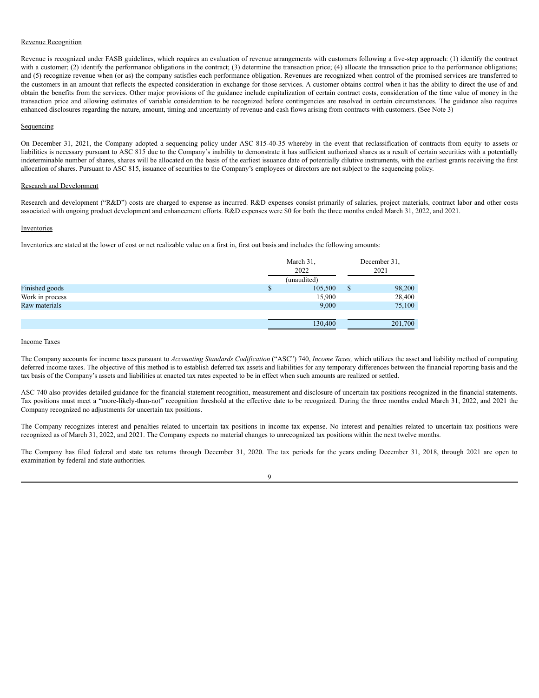# Revenue Recognition

Revenue is recognized under FASB guidelines, which requires an evaluation of revenue arrangements with customers following a five-step approach: (1) identify the contract with a customer; (2) identify the performance obligations in the contract; (3) determine the transaction price; (4) allocate the transaction price to the performance obligations; and (5) recognize revenue when (or as) the company satisfies each performance obligation. Revenues are recognized when control of the promised services are transferred to the customers in an amount that reflects the expected consideration in exchange for those services. A customer obtains control when it has the ability to direct the use of and obtain the benefits from the services. Other major provisions of the guidance include capitalization of certain contract costs, consideration of the time value of money in the transaction price and allowing estimates of variable consideration to be recognized before contingencies are resolved in certain circumstances. The guidance also requires enhanced disclosures regarding the nature, amount, timing and uncertainty of revenue and cash flows arising from contracts with customers. (See Note 3)

### **Sequencing**

On December 31, 2021, the Company adopted a sequencing policy under ASC 815-40-35 whereby in the event that reclassification of contracts from equity to assets or liabilities is necessary pursuant to ASC 815 due to the Company's inability to demonstrate it has sufficient authorized shares as a result of certain securities with a potentially indeterminable number of shares, shares will be allocated on the basis of the earliest issuance date of potentially dilutive instruments, with the earliest grants receiving the first allocation of shares. Pursuant to ASC 815, issuance of securities to the Company's employees or directors are not subject to the sequencing policy.

# Research and Development

Research and development ("R&D") costs are charged to expense as incurred. R&D expenses consist primarily of salaries, project materials, contract labor and other costs associated with ongoing product development and enhancement efforts. R&D expenses were \$0 for both the three months ended March 31, 2022, and 2021.

# Inventories

Inventories are stated at the lower of cost or net realizable value on a first in, first out basis and includes the following amounts:

|                 |    | March 31,<br>2022 |   | December 31,<br>2021 |
|-----------------|----|-------------------|---|----------------------|
|                 |    | (unaudited)       |   |                      |
| Finished goods  | ۰D | 105,500           | S | 98,200               |
| Work in process |    | 15,900            |   | 28,400               |
| Raw materials   |    | 9,000             |   | 75,100               |
|                 |    |                   |   |                      |
|                 |    | 130,400           |   | 201,700              |

# Income Taxes

The Company accounts for income taxes pursuant to *Accounting Standards Codification* ("ASC") 740, *Income Taxes,* which utilizes the asset and liability method of computing deferred income taxes. The objective of this method is to establish deferred tax assets and liabilities for any temporary differences between the financial reporting basis and the tax basis of the Company's assets and liabilities at enacted tax rates expected to be in effect when such amounts are realized or settled.

ASC 740 also provides detailed guidance for the financial statement recognition, measurement and disclosure of uncertain tax positions recognized in the financial statements. Tax positions must meet a "more-likely-than-not" recognition threshold at the effective date to be recognized. During the three months ended March 31, 2022, and 2021 the Company recognized no adjustments for uncertain tax positions.

The Company recognizes interest and penalties related to uncertain tax positions in income tax expense. No interest and penalties related to uncertain tax positions were recognized as of March 31, 2022, and 2021. The Company expects no material changes to unrecognized tax positions within the next twelve months.

The Company has filed federal and state tax returns through December 31, 2020. The tax periods for the years ending December 31, 2018, through 2021 are open to examination by federal and state authorities.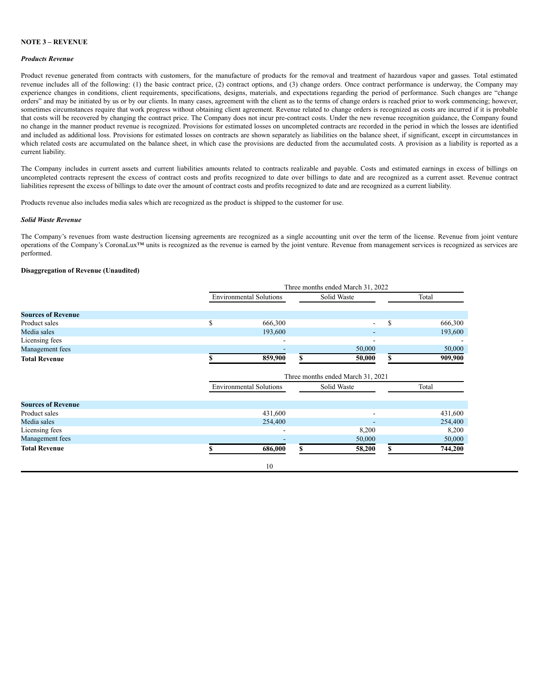### **NOTE 3 – REVENUE**

### *Products Revenue*

Product revenue generated from contracts with customers, for the manufacture of products for the removal and treatment of hazardous vapor and gasses. Total estimated revenue includes all of the following: (1) the basic contract price, (2) contract options, and (3) change orders. Once contract performance is underway, the Company may experience changes in conditions, client requirements, specifications, designs, materials, and expectations regarding the period of performance. Such changes are "change orders" and may be initiated by us or by our clients. In many cases, agreement with the client as to the terms of change orders is reached prior to work commencing; however, sometimes circumstances require that work progress without obtaining client agreement. Revenue related to change orders is recognized as costs are incurred if it is probable that costs will be recovered by changing the contract price. The Company does not incur pre-contract costs. Under the new revenue recognition guidance, the Company found no change in the manner product revenue is recognized. Provisions for estimated losses on uncompleted contracts are recorded in the period in which the losses are identified and included as additional loss. Provisions for estimated losses on contracts are shown separately as liabilities on the balance sheet, if significant, except in circumstances in which related costs are accumulated on the balance sheet, in which case the provisions are deducted from the accumulated costs. A provision as a liability is reported as a current liability.

The Company includes in current assets and current liabilities amounts related to contracts realizable and payable. Costs and estimated earnings in excess of billings on uncompleted contracts represent the excess of contract costs and profits recognized to date over billings to date and are recognized as a current asset. Revenue contract liabilities represent the excess of billings to date over the amount of contract costs and profits recognized to date and are recognized as a current liability.

Products revenue also includes media sales which are recognized as the product is shipped to the customer for use.

### *Solid Waste Revenue*

The Company's revenues from waste destruction licensing agreements are recognized as a single accounting unit over the term of the license. Revenue from joint venture operations of the Company's CoronaLux™ units is recognized as the revenue is earned by the joint venture. Revenue from management services is recognized as services are performed.

# **Disaggregation of Revenue (Unaudited)**

|                           | Three months ended March 31, 2022 |    |                          |    |         |  |  |
|---------------------------|-----------------------------------|----|--------------------------|----|---------|--|--|
|                           | <b>Environmental Solutions</b>    |    | Solid Waste              |    | Total   |  |  |
| <b>Sources of Revenue</b> |                                   |    |                          |    |         |  |  |
| Product sales             | \$<br>666,300                     |    | $\overline{\phantom{a}}$ | \$ | 666,300 |  |  |
| Media sales               | 193,600                           |    |                          |    | 193,600 |  |  |
| Licensing fees            |                                   |    |                          |    |         |  |  |
| Management fees           |                                   |    | 50,000                   |    | 50,000  |  |  |
| <b>Total Revenue</b>      | 859,900                           | S  | 50,000                   | s  | 909,900 |  |  |
|                           | Three months ended March 31, 2021 |    |                          |    |         |  |  |
|                           | <b>Environmental Solutions</b>    |    | Solid Waste              |    | Total   |  |  |
| <b>Sources of Revenue</b> |                                   |    |                          |    |         |  |  |
| Product sales             | 431,600                           |    |                          |    | 431,600 |  |  |
| Media sales               | 254,400                           |    |                          |    | 254,400 |  |  |
| Licensing fees            |                                   |    | 8,200                    |    | 8,200   |  |  |
| Management fees           |                                   |    | 50,000                   |    | 50,000  |  |  |
| <b>Total Revenue</b>      | 686,000                           | S. | 58,200                   | \$ | 744,200 |  |  |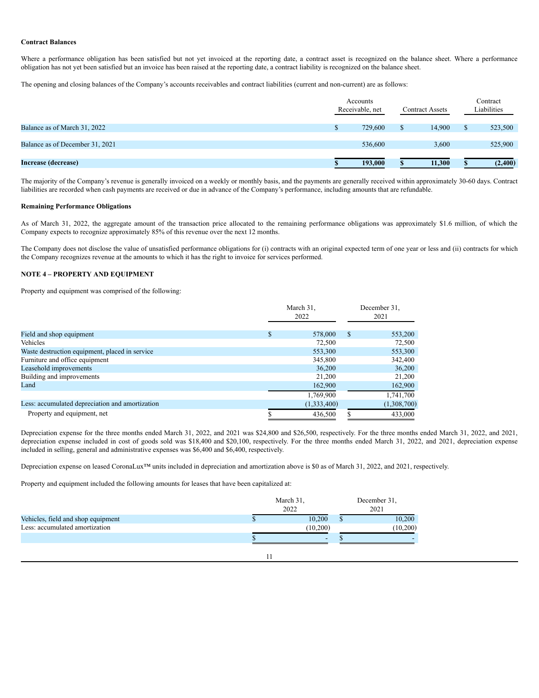## **Contract Balances**

Where a performance obligation has been satisfied but not yet invoiced at the reporting date, a contract asset is recognized on the balance sheet. Where a performance obligation has not yet been satisfied but an invoice has been raised at the reporting date, a contract liability is recognized on the balance sheet.

The opening and closing balances of the Company's accounts receivables and contract liabilities (current and non-current) are as follows:

|                                 |    | Accounts<br>Receivable, net | Contract Assets | Contract<br>Liabilities |         |
|---------------------------------|----|-----------------------------|-----------------|-------------------------|---------|
| Balance as of March 31, 2022    | ъĐ | 729,600                     | 14,900          |                         | 523,500 |
| Balance as of December 31, 2021 |    | 536,600                     | 3,600           |                         | 525,900 |
| Increase (decrease)             |    | 193,000                     | 11,300          |                         | (2,400) |

The majority of the Company's revenue is generally invoiced on a weekly or monthly basis, and the payments are generally received within approximately 30-60 days. Contract liabilities are recorded when cash payments are received or due in advance of the Company's performance, including amounts that are refundable.

# **Remaining Performance Obligations**

As of March 31, 2022, the aggregate amount of the transaction price allocated to the remaining performance obligations was approximately \$1.6 million, of which the Company expects to recognize approximately 85% of this revenue over the next 12 months.

The Company does not disclose the value of unsatisfied performance obligations for (i) contracts with an original expected term of one year or less and (ii) contracts for which the Company recognizes revenue at the amounts to which it has the right to invoice for services performed.

### **NOTE 4 – PROPERTY AND EQUIPMENT**

Property and equipment was comprised of the following:

|                                                 | March 31.<br>2022 |   |             |
|-------------------------------------------------|-------------------|---|-------------|
| Field and shop equipment                        | \$<br>578,000     | S | 553,200     |
| Vehicles                                        | 72,500            |   | 72,500      |
| Waste destruction equipment, placed in service  | 553,300           |   | 553,300     |
| Furniture and office equipment                  | 345,800           |   | 342,400     |
| Leasehold improvements                          | 36,200            |   | 36,200      |
| Building and improvements                       | 21,200            |   | 21,200      |
| Land                                            | 162,900           |   | 162,900     |
|                                                 | 1,769,900         |   | 1,741,700   |
| Less: accumulated depreciation and amortization | (1,333,400)       |   | (1,308,700) |
| Property and equipment, net                     | 436.500           |   | 433,000     |

Depreciation expense for the three months ended March 31, 2022, and 2021 was \$24,800 and \$26,500, respectively. For the three months ended March 31, 2022, and 2021, depreciation expense included in cost of goods sold was \$18,400 and \$20,100, respectively. For the three months ended March 31, 2022, and 2021, depreciation expense included in selling, general and administrative expenses was \$6,400 and \$6,400, respectively.

Depreciation expense on leased CoronaLux™ units included in depreciation and amortization above is \$0 as of March 31, 2022, and 2021, respectively.

Property and equipment included the following amounts for leases that have been capitalized at:

|                                    | March 31,<br>2022 |  |          |
|------------------------------------|-------------------|--|----------|
| Vehicles, field and shop equipment | 10,200            |  | 10,200   |
| Less: accumulated amortization     | (10,200)          |  | (10,200) |
|                                    | -                 |  |          |
|                                    |                   |  |          |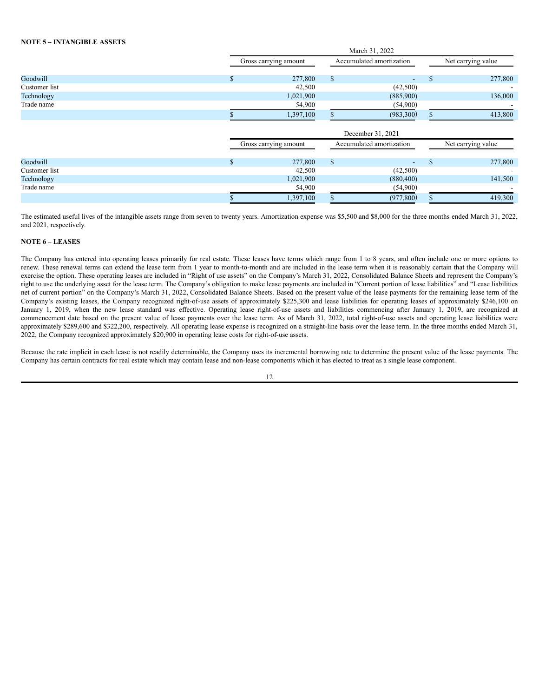## **NOTE 5 – INTANGIBLE ASSETS**

|               | March 31, 2022        |                       |                          |                          |                    |                    |  |
|---------------|-----------------------|-----------------------|--------------------------|--------------------------|--------------------|--------------------|--|
|               | Gross carrying amount |                       | Accumulated amortization |                          | Net carrying value |                    |  |
| Goodwill      | <sup>\$</sup>         | 277,800               | \$                       | $\overline{\phantom{a}}$ | <sup>\$</sup>      | 277,800            |  |
| Customer list |                       | 42,500                |                          | (42,500)                 |                    |                    |  |
| Technology    |                       | 1,021,900             |                          | (885,900)                |                    | 136,000            |  |
| Trade name    |                       | 54,900                |                          | (54,900)                 |                    |                    |  |
|               |                       | 1,397,100             |                          | (983,300)                |                    | 413,800            |  |
|               |                       |                       |                          | December 31, 2021        |                    |                    |  |
|               |                       | Gross carrying amount |                          | Accumulated amortization |                    | Net carrying value |  |
| Goodwill      | \$                    | 277,800               | $\mathbb{S}$             | $\overline{\phantom{a}}$ | $\mathbf{s}$       | 277,800            |  |
| Customer list |                       | 42,500                |                          | (42,500)                 |                    |                    |  |
| Technology    |                       | 1,021,900             |                          | (880, 400)               |                    | 141,500            |  |
| Trade name    |                       | 54,900                |                          | (54,900)                 |                    |                    |  |
|               |                       | 1,397,100             |                          | (977, 800)               |                    | 419,300            |  |

The estimated useful lives of the intangible assets range from seven to twenty years. Amortization expense was \$5,500 and \$8,000 for the three months ended March 31, 2022, and 2021, respectively.

### **NOTE 6 – LEASES**

The Company has entered into operating leases primarily for real estate. These leases have terms which range from 1 to 8 years, and often include one or more options to renew. These renewal terms can extend the lease term from 1 year to month-to-month and are included in the lease term when it is reasonably certain that the Company will exercise the option. These operating leases are included in "Right of use assets" on the Company's March 31, 2022, Consolidated Balance Sheets and represent the Company's right to use the underlying asset for the lease term. The Company's obligation to make lease payments are included in "Current portion of lease liabilities" and "Lease liabilities net of current portion" on the Company's March 31, 2022, Consolidated Balance Sheets. Based on the present value of the lease payments for the remaining lease term of the Company's existing leases, the Company recognized right-of-use assets of approximately \$225,300 and lease liabilities for operating leases of approximately \$246,100 on January 1, 2019, when the new lease standard was effective. Operating lease right-of-use assets and liabilities commencing after January 1, 2019, are recognized at commencement date based on the present value of lease payments over the lease term. As of March 31, 2022, total right-of-use assets and operating lease liabilities were approximately \$289,600 and \$322,200, respectively. All operating lease expense is recognized on a straight-line basis over the lease term. In the three months ended March 31, 2022, the Company recognized approximately \$20,900 in operating lease costs for right-of-use assets.

Because the rate implicit in each lease is not readily determinable, the Company uses its incremental borrowing rate to determine the present value of the lease payments. The Company has certain contracts for real estate which may contain lease and non-lease components which it has elected to treat as a single lease component.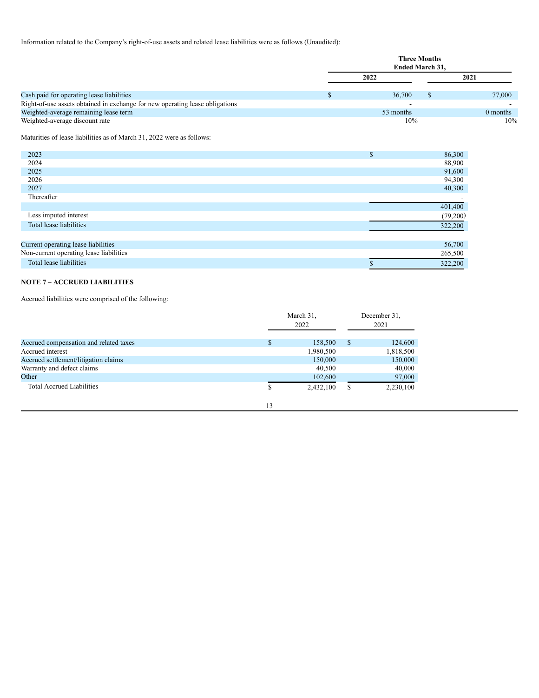Information related to the Company's right-of-use assets and related lease liabilities were as follows (Unaudited):

|                                                                              | <b>Three Months</b><br><b>Ended March 31,</b> |           |  |          |  |
|------------------------------------------------------------------------------|-----------------------------------------------|-----------|--|----------|--|
|                                                                              |                                               | 2022      |  | 2021     |  |
| Cash paid for operating lease liabilities                                    |                                               | 36,700    |  | 77,000   |  |
| Right-of-use assets obtained in exchange for new operating lease obligations |                                               |           |  |          |  |
| Weighted-average remaining lease term                                        |                                               | 53 months |  | 0 months |  |
| Weighted-average discount rate                                               |                                               | 10%       |  | 10%      |  |

Maturities of lease liabilities as of March 31, 2022 were as follows:

| 2023                                    | \$<br>86,300 |
|-----------------------------------------|--------------|
| 2024                                    | 88,900       |
| 2025                                    | 91,600       |
| 2026                                    | 94,300       |
| 2027                                    | 40,300       |
| Thereafter                              |              |
|                                         | 401,400      |
| Less imputed interest                   | (79,200)     |
| Total lease liabilities                 | 322,200      |
|                                         |              |
| Current operating lease liabilities     | 56,700       |
| Non-current operating lease liabilities | 265,500      |
| Total lease liabilities                 | 322,200      |
|                                         |              |

# **NOTE 7 – ACCRUED LIABILITIES**

Accrued liabilities were comprised of the following:

|                                        |    | March 31,<br>2022 |              | December 31.<br>2021 |
|----------------------------------------|----|-------------------|--------------|----------------------|
| Accrued compensation and related taxes | \$ | 158,500           | <sup>S</sup> | 124,600              |
| Accrued interest                       |    | 1,980,500         |              | 1,818,500            |
| Accrued settlement/litigation claims   |    | 150,000           |              | 150,000              |
| Warranty and defect claims             |    | 40,500            |              | 40,000               |
| Other                                  |    | 102,600           |              | 97,000               |
| <b>Total Accrued Liabilities</b>       |    | 2,432,100         |              | 2,230,100            |
|                                        | 13 |                   |              |                      |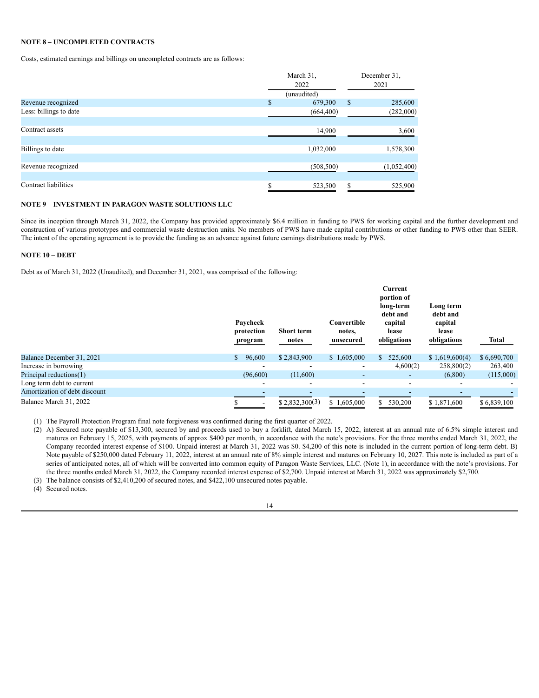# **NOTE 8 – UNCOMPLETED CONTRACTS**

Costs, estimated earnings and billings on uncompleted contracts are as follows:

|                        |              | March 31,<br>2022 |              | December 31,<br>2021 |
|------------------------|--------------|-------------------|--------------|----------------------|
|                        |              | (unaudited)       |              |                      |
| Revenue recognized     | $\mathbb{S}$ | 679,300           | $\mathbb{S}$ | 285,600              |
| Less: billings to date |              | (664, 400)        |              | (282,000)            |
|                        |              |                   |              |                      |
| Contract assets        |              | 14,900            |              | 3,600                |
|                        |              |                   |              |                      |
| Billings to date       |              | 1,032,000         |              | 1,578,300            |
|                        |              |                   |              |                      |
| Revenue recognized     |              | (508, 500)        |              | (1,052,400)          |
|                        |              |                   |              |                      |
| Contract liabilities   | \$           | 523,500           | \$           | 525,900              |

# **NOTE 9 – INVESTMENT IN PARAGON WASTE SOLUTIONS LLC**

Since its inception through March 31, 2022, the Company has provided approximately \$6.4 million in funding to PWS for working capital and the further development and construction of various prototypes and commercial waste destruction units. No members of PWS have made capital contributions or other funding to PWS other than SEER. The intent of the operating agreement is to provide the funding as an advance against future earnings distributions made by PWS.

# **NOTE 10 – DEBT**

Debt as of March 31, 2022 (Unaudited), and December 31, 2021, was comprised of the following:

|                               | Paycheck<br>protection<br>program | <b>Short term</b><br>notes | Convertible<br>notes,<br>unsecured | Current<br>portion of<br>long-term<br>debt and<br>capital<br>lease<br>obligations | Long term<br>debt and<br>capital<br>lease<br>obligations | <b>Total</b> |
|-------------------------------|-----------------------------------|----------------------------|------------------------------------|-----------------------------------------------------------------------------------|----------------------------------------------------------|--------------|
| Balance December 31, 2021     | 96,600<br>\$                      | \$2,843,900                | \$1,605,000                        | 525,600<br>$\mathbb{S}$                                                           | \$1,619,600(4)                                           | \$6,690,700  |
| Increase in borrowing         |                                   |                            |                                    | 4,600(2)                                                                          | 258,800(2)                                               | 263,400      |
| Principal reductions(1)       | (96,600)                          | (11,600)                   | $\overline{\phantom{0}}$           |                                                                                   | (6,800)                                                  | (115,000)    |
| Long term debt to current     | <b>.</b>                          | $\overline{\phantom{a}}$   | $\blacksquare$                     | $\overline{\phantom{0}}$                                                          | $\overline{\phantom{a}}$                                 |              |
| Amortization of debt discount |                                   |                            |                                    |                                                                                   |                                                          |              |
| Balance March 31, 2022        |                                   | \$2,832,300(3)             | \$1,605,000                        | 530,200                                                                           | \$1,871,600                                              | \$6,839,100  |

(1) The Payroll Protection Program final note forgiveness was confirmed during the first quarter of 2022.

(2) A) Secured note payable of \$13,300, secured by and proceeds used to buy a forklift, dated March 15, 2022, interest at an annual rate of 6.5% simple interest and matures on February 15, 2025, with payments of approx \$400 per month, in accordance with the note's provisions. For the three months ended March 31, 2022, the Company recorded interest expense of \$100. Unpaid interest at March 31, 2022 was \$0. \$4,200 of this note is included in the current portion of long-term debt. B) Note payable of \$250,000 dated February 11, 2022, interest at an annual rate of 8% simple interest and matures on February 10, 2027. This note is included as part of a series of anticipated notes, all of which will be converted into common equity of Paragon Waste Services, LLC. (Note 1), in accordance with the note's provisions. For the three months ended March 31, 2022, the Company recorded interest expense of \$2,700. Unpaid interest at March 31, 2022 was approximately \$2,700.

(3) The balance consists of \$2,410,200 of secured notes, and \$422,100 unsecured notes payable.

(4) Secured notes.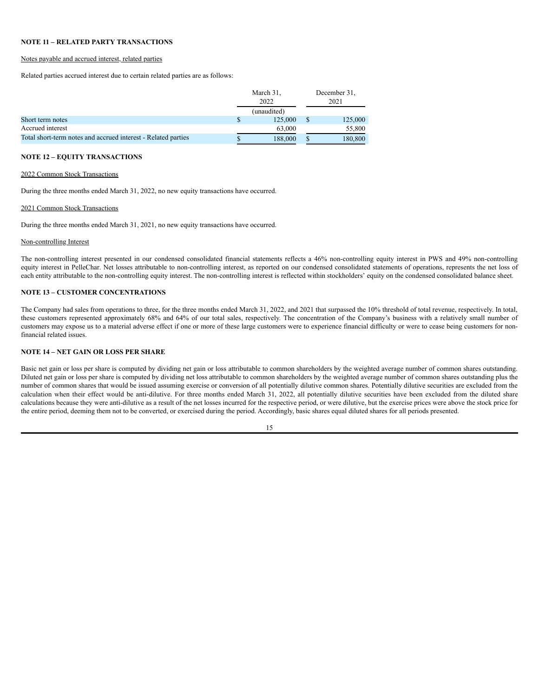### **NOTE 11 – RELATED PARTY TRANSACTIONS**

## Notes payable and accrued interest, related parties

Related parties accrued interest due to certain related parties are as follows:

|                                                               | March 31.<br>2022 |  | December 31.<br>2021 |
|---------------------------------------------------------------|-------------------|--|----------------------|
|                                                               | (unaudited)       |  |                      |
| Short term notes                                              | 125,000           |  | 125,000              |
| Accrued interest                                              | 63,000            |  | 55.800               |
| Total short-term notes and accrued interest - Related parties | 188,000           |  | 180.800              |

### **NOTE 12 – EQUITY TRANSACTIONS**

### 2022 Common Stock Transactions

During the three months ended March 31, 2022, no new equity transactions have occurred.

### 2021 Common Stock Transactions

During the three months ended March 31, 2021, no new equity transactions have occurred.

### Non-controlling Interest

The non-controlling interest presented in our condensed consolidated financial statements reflects a 46% non-controlling equity interest in PWS and 49% non-controlling equity interest in PelleChar. Net losses attributable to non-controlling interest, as reported on our condensed consolidated statements of operations, represents the net loss of each entity attributable to the non-controlling equity interest. The non-controlling interest is reflected within stockholders' equity on the condensed consolidated balance sheet.

### **NOTE 13 – CUSTOMER CONCENTRATIONS**

The Company had sales from operations to three, for the three months ended March 31, 2022, and 2021 that surpassed the 10% threshold of total revenue, respectively. In total, these customers represented approximately 68% and 64% of our total sales, respectively. The concentration of the Company's business with a relatively small number of customers may expose us to a material adverse effect if one or more of these large customers were to experience financial difficulty or were to cease being customers for nonfinancial related issues.

# **NOTE 14 – NET GAIN OR LOSS PER SHARE**

Basic net gain or loss per share is computed by dividing net gain or loss attributable to common shareholders by the weighted average number of common shares outstanding. Diluted net gain or loss per share is computed by dividing net loss attributable to common shareholders by the weighted average number of common shares outstanding plus the number of common shares that would be issued assuming exercise or conversion of all potentially dilutive common shares. Potentially dilutive securities are excluded from the calculation when their effect would be anti-dilutive. For three months ended March 31, 2022, all potentially dilutive securities have been excluded from the diluted share calculations because they were anti-dilutive as a result of the net losses incurred for the respective period, or were dilutive, but the exercise prices were above the stock price for the entire period, deeming them not to be converted, or exercised during the period. Accordingly, basic shares equal diluted shares for all periods presented.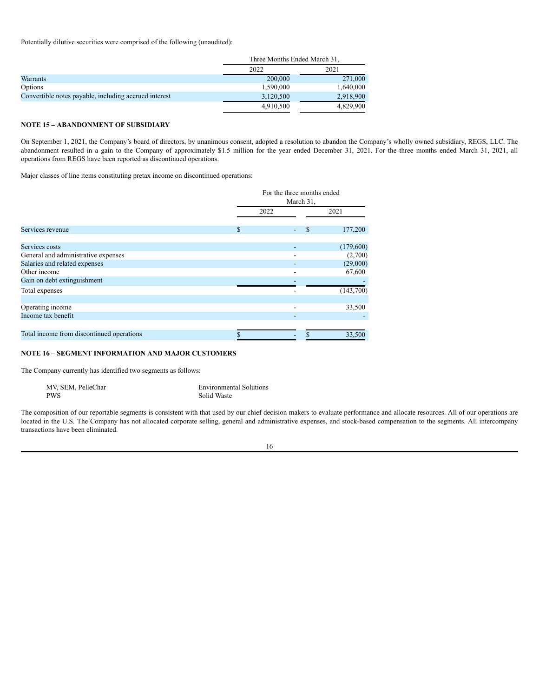Potentially dilutive securities were comprised of the following (unaudited):

|                                                       |           | Three Months Ended March 31, |  |  |  |
|-------------------------------------------------------|-----------|------------------------------|--|--|--|
|                                                       | 2022      | 2021                         |  |  |  |
| Warrants                                              | 200,000   | 271,000                      |  |  |  |
| Options                                               | 1,590,000 | 1,640,000                    |  |  |  |
| Convertible notes payable, including accrued interest | 3,120,500 | 2,918,900                    |  |  |  |
|                                                       | 4,910,500 | 4.829.900                    |  |  |  |

# **NOTE 15 – ABANDONMENT OF SUBSIDIARY**

On September 1, 2021, the Company's board of directors, by unanimous consent, adopted a resolution to abandon the Company's wholly owned subsidiary, REGS, LLC. The abandonment resulted in a gain to the Company of approximately \$1.5 million for the year ended December 31, 2021. For the three months ended March 31, 2021, all operations from REGS have been reported as discontinued operations.

Major classes of line items constituting pretax income on discontinued operations:

|                                           |      | For the three months ended<br>March 31, |               |           |  |  |
|-------------------------------------------|------|-----------------------------------------|---------------|-----------|--|--|
|                                           | 2022 |                                         |               | 2021      |  |  |
| Services revenue                          | \$   |                                         | <sup>\$</sup> | 177,200   |  |  |
| Services costs                            |      |                                         |               | (179,600) |  |  |
| General and administrative expenses       |      |                                         |               | (2,700)   |  |  |
| Salaries and related expenses             |      |                                         |               | (29,000)  |  |  |
| Other income                              |      |                                         |               | 67,600    |  |  |
| Gain on debt extinguishment               |      |                                         |               |           |  |  |
| Total expenses                            |      |                                         |               | (143,700) |  |  |
|                                           |      |                                         |               |           |  |  |
| Operating income                          |      |                                         |               | 33,500    |  |  |
| Income tax benefit                        |      |                                         |               |           |  |  |
| Total income from discontinued operations |      |                                         |               | 33,500    |  |  |

# **NOTE 16 – SEGMENT INFORMATION AND MAJOR CUSTOMERS**

The Company currently has identified two segments as follows:

MV, SEM, PelleChar Environmental Solutions PWS Solid Waste

The composition of our reportable segments is consistent with that used by our chief decision makers to evaluate performance and allocate resources. All of our operations are located in the U.S. The Company has not allocated corporate selling, general and administrative expenses, and stock-based compensation to the segments. All intercompany transactions have been eliminated.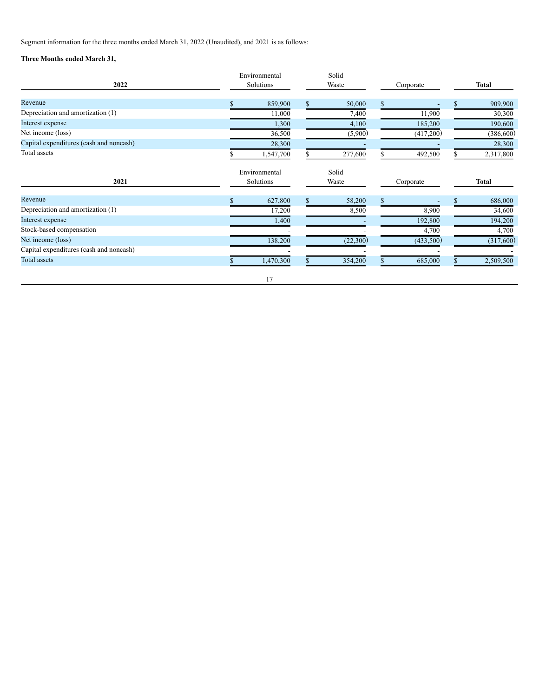# Segment information for the three months ended March 31, 2022 (Unaudited), and 2021 is as follows:

# **Three Months ended March 31,**

| 2022                                    | Environmental<br>Solutions | Solid<br>Waste |              | Corporate | <b>Total</b>  |
|-----------------------------------------|----------------------------|----------------|--------------|-----------|---------------|
| Revenue                                 | 859,900                    | 50,000         | $\mathbb{S}$ |           | \$<br>909,900 |
| Depreciation and amortization (1)       | 11,000                     | 7,400          |              | 11,900    | 30,300        |
| Interest expense                        | 1,300                      | 4,100          |              | 185,200   | 190,600       |
| Net income (loss)                       | 36,500                     | (5,900)        |              | (417,200) | (386, 600)    |
| Capital expenditures (cash and noncash) | 28,300                     |                |              |           | 28,300        |
| Total assets                            | 1,547,700                  | 277,600        |              | 492,500   | 2,317,800     |
| 2021                                    | Environmental<br>Solutions | Solid<br>Waste |              | Corporate | <b>Total</b>  |
| Revenue                                 | 627,800                    | 58,200         |              |           | 686,000       |
| Depreciation and amortization (1)       | 17,200                     | 8,500          |              | 8,900     | 34,600        |
| Interest expense                        | 1,400                      |                |              | 192,800   | 194,200       |
| Stock-based compensation                |                            |                |              | 4,700     | 4,700         |
| Net income (loss)                       | 138,200                    | (22,300)       |              | (433,500) | (317,600)     |
| Capital expenditures (cash and noncash) |                            |                |              |           |               |
| Total assets                            | 1,470,300                  | 354,200        |              | 685,000   | 2,509,500     |
|                                         | 17                         |                |              |           |               |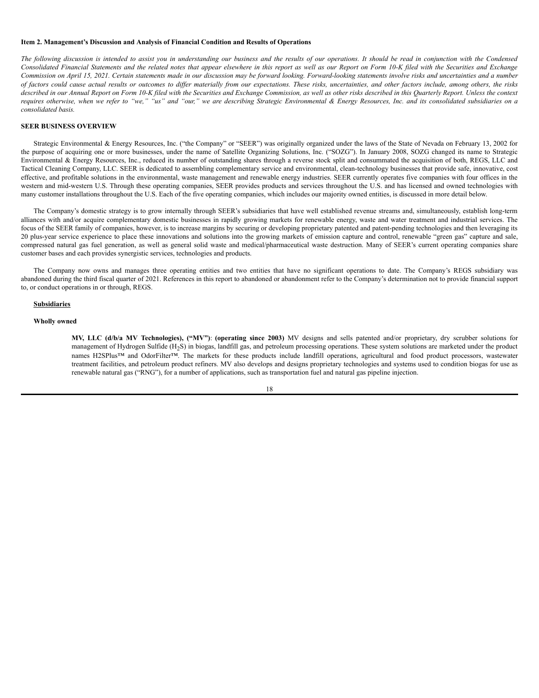### <span id="page-17-0"></span>**Item 2. Management's Discussion and Analysis of Financial Condition and Results of Operations**

The following discussion is intended to assist you in understanding our business and the results of our operations. It should be read in conjunction with the Condensed Consolidated Financial Statements and the related notes that appear elsewhere in this report as well as our Report on Form 10-K filed with the Securities and Exchange Commission on April 15, 2021. Certain statements made in our discussion may be forward looking. Forward-looking statements involve risks and uncertainties and a number of factors could cause actual results or outcomes to differ materially from our expectations. These risks, uncertainties, and other factors include, among others, the risks described in our Annual Report on Form 10-K filed with the Securities and Exchange Commission, as well as other risks described in this Quarterly Report. Unless the context requires otherwise, when we refer to "we," "us" and "our," we are describing Strategic Environmental & Energy Resources, Inc. and its consolidated subsidiaries on a *consolidated basis.*

# **SEER BUSINESS OVERVIEW**

Strategic Environmental & Energy Resources, Inc. ("the Company" or "SEER") was originally organized under the laws of the State of Nevada on February 13, 2002 for the purpose of acquiring one or more businesses, under the name of Satellite Organizing Solutions, Inc. ("SOZG"). In January 2008, SOZG changed its name to Strategic Environmental & Energy Resources, Inc., reduced its number of outstanding shares through a reverse stock split and consummated the acquisition of both, REGS, LLC and Tactical Cleaning Company, LLC. SEER is dedicated to assembling complementary service and environmental, clean-technology businesses that provide safe, innovative, cost effective, and profitable solutions in the environmental, waste management and renewable energy industries. SEER currently operates five companies with four offices in the western and mid-western U.S. Through these operating companies, SEER provides products and services throughout the U.S. and has licensed and owned technologies with many customer installations throughout the U.S. Each of the five operating companies, which includes our majority owned entities, is discussed in more detail below.

The Company's domestic strategy is to grow internally through SEER's subsidiaries that have well established revenue streams and, simultaneously, establish long-term alliances with and/or acquire complementary domestic businesses in rapidly growing markets for renewable energy, waste and water treatment and industrial services. The focus of the SEER family of companies, however, is to increase margins by securing or developing proprietary patented and patent-pending technologies and then leveraging its 20 plus-year service experience to place these innovations and solutions into the growing markets of emission capture and control, renewable "green gas" capture and sale, compressed natural gas fuel generation, as well as general solid waste and medical/pharmaceutical waste destruction. Many of SEER's current operating companies share customer bases and each provides synergistic services, technologies and products.

The Company now owns and manages three operating entities and two entities that have no significant operations to date. The Company's REGS subsidiary was abandoned during the third fiscal quarter of 2021. References in this report to abandoned or abandonment refer to the Company's determination not to provide financial support to, or conduct operations in or through, REGS.

#### **Subsidiaries**

### **Wholly owned**

**MV, LLC (d/b/a MV Technologies), ("MV")**: **(operating since 2003)** MV designs and sells patented and/or proprietary, dry scrubber solutions for management of Hydrogen Sulfide (H<sub>2</sub>S) in biogas, landfill gas, and petroleum processing operations. These system solutions are marketed under the product names H2SPlus™ and OdorFilter™. The markets for these products include landfill operations, agricultural and food product processors, wastewater treatment facilities, and petroleum product refiners. MV also develops and designs proprietary technologies and systems used to condition biogas for use as renewable natural gas ("RNG"), for a number of applications, such as transportation fuel and natural gas pipeline injection.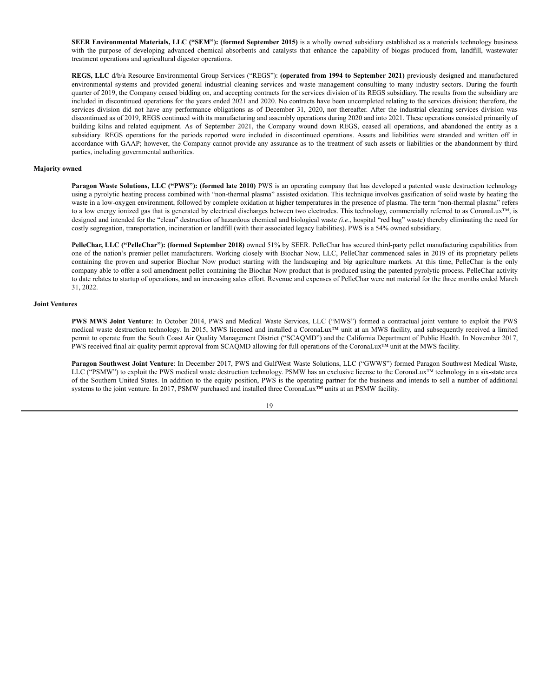**SEER Environmental Materials, LLC ("SEM"): (formed September 2015)** is a wholly owned subsidiary established as a materials technology business with the purpose of developing advanced chemical absorbents and catalysts that enhance the capability of biogas produced from, landfill, wastewater treatment operations and agricultural digester operations.

**REGS, LLC** d/b/a Resource Environmental Group Services ("REGS"): **(operated from 1994 to September 2021)** previously designed and manufactured environmental systems and provided general industrial cleaning services and waste management consulting to many industry sectors. During the fourth quarter of 2019, the Company ceased bidding on, and accepting contracts for the services division of its REGS subsidiary. The results from the subsidiary are included in discontinued operations for the years ended 2021 and 2020. No contracts have been uncompleted relating to the services division; therefore, the services division did not have any performance obligations as of December 31, 2020, nor thereafter. After the industrial cleaning services division was discontinued as of 2019, REGS continued with its manufacturing and assembly operations during 2020 and into 2021. These operations consisted primarily of building kilns and related equipment. As of September 2021, the Company wound down REGS, ceased all operations, and abandoned the entity as a subsidiary. REGS operations for the periods reported were included in discontinued operations. Assets and liabilities were stranded and written off in accordance with GAAP; however, the Company cannot provide any assurance as to the treatment of such assets or liabilities or the abandonment by third parties, including governmental authorities.

### **Majority owned**

**Paragon Waste Solutions, LLC ("PWS"): (formed late 2010)** PWS is an operating company that has developed a patented waste destruction technology using a pyrolytic heating process combined with "non-thermal plasma" assisted oxidation. This technique involves gasification of solid waste by heating the waste in a low-oxygen environment, followed by complete oxidation at higher temperatures in the presence of plasma. The term "non-thermal plasma" refers to a low energy ionized gas that is generated by electrical discharges between two electrodes. This technology, commercially referred to as CoronaLux™, is designed and intended for the "clean" destruction of hazardous chemical and biological waste *(i.e.*, hospital "red bag" waste) thereby eliminating the need for costly segregation, transportation, incineration or landfill (with their associated legacy liabilities). PWS is a 54% owned subsidiary.

**PelleChar, LLC ("PelleChar"): (formed September 2018)** owned 51% by SEER. PelleChar has secured third-party pellet manufacturing capabilities from one of the nation's premier pellet manufacturers. Working closely with Biochar Now, LLC, PelleChar commenced sales in 2019 of its proprietary pellets containing the proven and superior Biochar Now product starting with the landscaping and big agriculture markets. At this time, PelleChar is the only company able to offer a soil amendment pellet containing the Biochar Now product that is produced using the patented pyrolytic process. PelleChar activity to date relates to startup of operations, and an increasing sales effort. Revenue and expenses of PelleChar were not material for the three months ended March 31, 2022.

### **Joint Ventures**

**PWS MWS Joint Venture**: In October 2014, PWS and Medical Waste Services, LLC ("MWS") formed a contractual joint venture to exploit the PWS medical waste destruction technology. In 2015, MWS licensed and installed a CoronaLux™ unit at an MWS facility, and subsequently received a limited permit to operate from the South Coast Air Quality Management District ("SCAQMD") and the California Department of Public Health. In November 2017, PWS received final air quality permit approval from SCAQMD allowing for full operations of the CoronaLux™ unit at the MWS facility.

**Paragon Southwest Joint Venture**: In December 2017, PWS and GulfWest Waste Solutions, LLC ("GWWS") formed Paragon Southwest Medical Waste, LLC ("PSMW") to exploit the PWS medical waste destruction technology. PSMW has an exclusive license to the CoronaLux™ technology in a six-state area of the Southern United States. In addition to the equity position, PWS is the operating partner for the business and intends to sell a number of additional systems to the joint venture. In 2017, PSMW purchased and installed three CoronaLux™ units at an PSMW facility.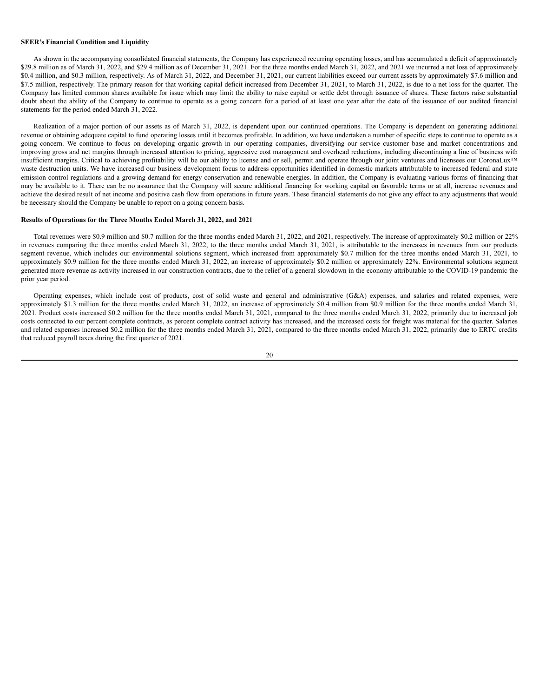### **SEER's Financial Condition and Liquidity**

As shown in the accompanying consolidated financial statements, the Company has experienced recurring operating losses, and has accumulated a deficit of approximately \$29.8 million as of March 31, 2022, and \$29.4 million as of December 31, 2021. For the three months ended March 31, 2022, and 2021 we incurred a net loss of approximately \$0.4 million, and \$0.3 million, respectively. As of March 31, 2022, and December 31, 2021, our current liabilities exceed our current assets by approximately \$7.6 million and \$7.5 million, respectively. The primary reason for that working capital deficit increased from December 31, 2021, to March 31, 2022, is due to a net loss for the quarter. The Company has limited common shares available for issue which may limit the ability to raise capital or settle debt through issuance of shares. These factors raise substantial doubt about the ability of the Company to continue to operate as a going concern for a period of at least one year after the date of the issuance of our audited financial statements for the period ended March 31, 2022.

Realization of a major portion of our assets as of March 31, 2022, is dependent upon our continued operations. The Company is dependent on generating additional revenue or obtaining adequate capital to fund operating losses until it becomes profitable. In addition, we have undertaken a number of specific steps to continue to operate as a going concern. We continue to focus on developing organic growth in our operating companies, diversifying our service customer base and market concentrations and improving gross and net margins through increased attention to pricing, aggressive cost management and overhead reductions, including discontinuing a line of business with insufficient margins. Critical to achieving profitability will be our ability to license and or sell, permit and operate through our joint ventures and licensees our CoronaLux™ waste destruction units. We have increased our business development focus to address opportunities identified in domestic markets attributable to increased federal and state emission control regulations and a growing demand for energy conservation and renewable energies. In addition, the Company is evaluating various forms of financing that may be available to it. There can be no assurance that the Company will secure additional financing for working capital on favorable terms or at all, increase revenues and achieve the desired result of net income and positive cash flow from operations in future years. These financial statements do not give any effect to any adjustments that would be necessary should the Company be unable to report on a going concern basis.

### **Results of Operations for the Three Months Ended March 31, 2022, and 2021**

Total revenues were \$0.9 million and \$0.7 million for the three months ended March 31, 2022, and 2021, respectively. The increase of approximately \$0.2 million or 22% in revenues comparing the three months ended March 31, 2022, to the three months ended March 31, 2021, is attributable to the increases in revenues from our products segment revenue, which includes our environmental solutions segment, which increased from approximately \$0.7 million for the three months ended March 31, 2021, to approximately \$0.9 million for the three months ended March 31, 2022, an increase of approximately \$0.2 million or approximately 22%. Environmental solutions segment generated more revenue as activity increased in our construction contracts, due to the relief of a general slowdown in the economy attributable to the COVID-19 pandemic the prior year period.

Operating expenses, which include cost of products, cost of solid waste and general and administrative (G&A) expenses, and salaries and related expenses, were approximately \$1.3 million for the three months ended March 31, 2022, an increase of approximately \$0.4 million from \$0.9 million for the three months ended March 31, 2021. Product costs increased \$0.2 million for the three months ended March 31, 2021, compared to the three months ended March 31, 2022, primarily due to increased job costs connected to our percent complete contracts, as percent complete contract activity has increased, and the increased costs for freight was material for the quarter. Salaries and related expenses increased \$0.2 million for the three months ended March 31, 2021, compared to the three months ended March 31, 2022, primarily due to ERTC credits that reduced payroll taxes during the first quarter of 2021.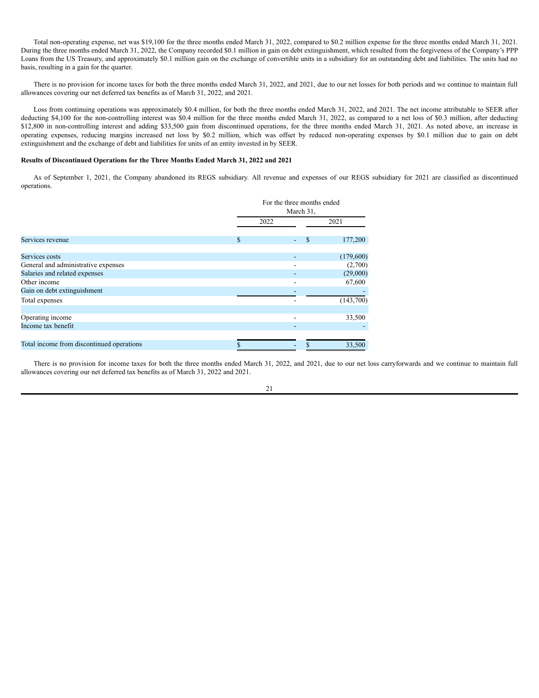Total non-operating expense, net was \$19,100 for the three months ended March 31, 2022, compared to \$0.2 million expense for the three months ended March 31, 2021. During the three months ended March 31, 2022, the Company recorded \$0.1 million in gain on debt extinguishment, which resulted from the forgiveness of the Company's PPP Loans from the US Treasury, and approximately \$0.1 million gain on the exchange of convertible units in a subsidiary for an outstanding debt and liabilities. The units had no basis, resulting in a gain for the quarter.

There is no provision for income taxes for both the three months ended March 31, 2022, and 2021, due to our net losses for both periods and we continue to maintain full allowances covering our net deferred tax benefits as of March 31, 2022, and 2021.

Loss from continuing operations was approximately \$0.4 million, for both the three months ended March 31, 2022, and 2021. The net income attributable to SEER after deducting \$4,100 for the non-controlling interest was \$0.4 million for the three months ended March 31, 2022, as compared to a net loss of \$0.3 million, after deducting \$12,800 in non-controlling interest and adding \$33,500 gain from discontinued operations, for the three months ended March 31, 2021. As noted above, an increase in operating expenses, reducing margins increased net loss by \$0.2 million, which was offset by reduced non-operating expenses by \$0.1 million due to gain on debt extinguishment and the exchange of debt and liabilities for units of an entity invested in by SEER.

# **Results of Discontinued Operations for the Three Months Ended March 31, 2022 and 2021**

As of September 1, 2021, the Company abandoned its REGS subsidiary. All revenue and expenses of our REGS subsidiary for 2021 are classified as discontinued operations.

|                                           |      | For the three months ended<br>March 31, |               |           |  |  |
|-------------------------------------------|------|-----------------------------------------|---------------|-----------|--|--|
|                                           | 2022 |                                         |               | 2021      |  |  |
| Services revenue                          | \$.  |                                         | <sup>\$</sup> | 177,200   |  |  |
| Services costs                            |      |                                         |               | (179,600) |  |  |
| General and administrative expenses       |      |                                         |               | (2,700)   |  |  |
| Salaries and related expenses             |      |                                         |               | (29,000)  |  |  |
| Other income                              |      |                                         |               | 67,600    |  |  |
| Gain on debt extinguishment               |      |                                         |               |           |  |  |
| Total expenses                            |      |                                         |               | (143,700) |  |  |
| Operating income                          |      |                                         |               | 33,500    |  |  |
| Income tax benefit                        |      |                                         |               |           |  |  |
| Total income from discontinued operations | \$   |                                         |               | 33,500    |  |  |

There is no provision for income taxes for both the three months ended March 31, 2022, and 2021, due to our net loss carryforwards and we continue to maintain full allowances covering our net deferred tax benefits as of March 31, 2022 and 2021.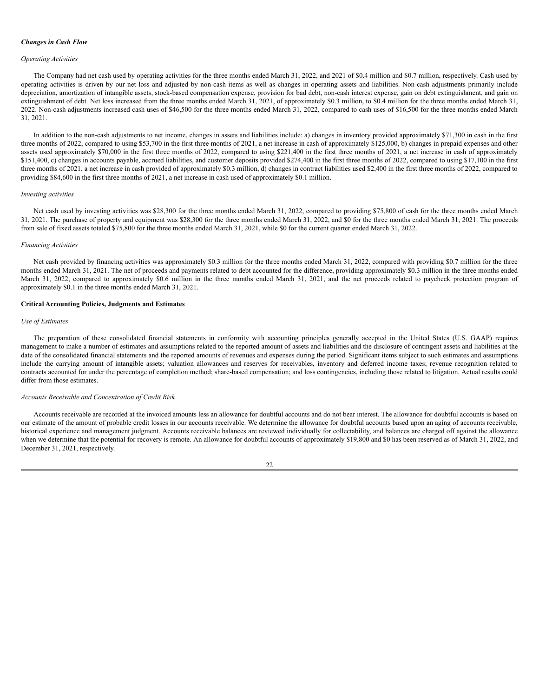### *Changes in Cash Flow*

### *Operating Activities*

The Company had net cash used by operating activities for the three months ended March 31, 2022, and 2021 of \$0.4 million and \$0.7 million, respectively. Cash used by operating activities is driven by our net loss and adjusted by non-cash items as well as changes in operating assets and liabilities. Non-cash adjustments primarily include depreciation, amortization of intangible assets, stock-based compensation expense, provision for bad debt, non-cash interest expense, gain on debt extinguishment, and gain on extinguishment of debt. Net loss increased from the three months ended March 31, 2021, of approximately \$0.3 million, to \$0.4 million for the three months ended March 31, 2022. Non-cash adjustments increased cash uses of \$46,500 for the three months ended March 31, 2022, compared to cash uses of \$16,500 for the three months ended March 31, 2021.

In addition to the non-cash adjustments to net income, changes in assets and liabilities include: a) changes in inventory provided approximately \$71,300 in cash in the first three months of 2022, compared to using \$53,700 in the first three months of 2021, a net increase in cash of approximately \$125,000, b) changes in prepaid expenses and other assets used approximately \$70,000 in the first three months of 2022, compared to using \$221,400 in the first three months of 2021, a net increase in cash of approximately \$151,400, c) changes in accounts payable, accrued liabilities, and customer deposits provided \$274,400 in the first three months of 2022, compared to using \$17,100 in the first three months of 2021, a net increase in cash provided of approximately \$0.3 million, d) changes in contract liabilities used \$2,400 in the first three months of 2022, compared to providing \$84,600 in the first three months of 2021, a net increase in cash used of approximately \$0.1 million.

### *Investing activities*

Net cash used by investing activities was \$28,300 for the three months ended March 31, 2022, compared to providing \$75,800 of cash for the three months ended March 31, 2021. The purchase of property and equipment was \$28,300 for the three months ended March 31, 2022, and \$0 for the three months ended March 31, 2021. The proceeds from sale of fixed assets totaled \$75,800 for the three months ended March 31, 2021, while \$0 for the current quarter ended March 31, 2022.

#### *Financing Activities*

Net cash provided by financing activities was approximately \$0.3 million for the three months ended March 31, 2022, compared with providing \$0.7 million for the three months ended March 31, 2021. The net of proceeds and payments related to debt accounted for the difference, providing approximately \$0.3 million in the three months ended March 31, 2022, compared to approximately \$0.6 million in the three months ended March 31, 2021, and the net proceeds related to paycheck protection program of approximately \$0.1 in the three months ended March 31, 2021.

### **Critical Accounting Policies, Judgments and Estimates**

### *Use of Estimates*

The preparation of these consolidated financial statements in conformity with accounting principles generally accepted in the United States (U.S. GAAP) requires management to make a number of estimates and assumptions related to the reported amount of assets and liabilities and the disclosure of contingent assets and liabilities at the date of the consolidated financial statements and the reported amounts of revenues and expenses during the period. Significant items subject to such estimates and assumptions include the carrying amount of intangible assets; valuation allowances and reserves for receivables, inventory and deferred income taxes; revenue recognition related to contracts accounted for under the percentage of completion method; share-based compensation; and loss contingencies, including those related to litigation. Actual results could differ from those estimates.

### *Accounts Receivable and Concentration of Credit Risk*

Accounts receivable are recorded at the invoiced amounts less an allowance for doubtful accounts and do not bear interest. The allowance for doubtful accounts is based on our estimate of the amount of probable credit losses in our accounts receivable. We determine the allowance for doubtful accounts based upon an aging of accounts receivable, historical experience and management judgment. Accounts receivable balances are reviewed individually for collectability, and balances are charged off against the allowance when we determine that the potential for recovery is remote. An allowance for doubtful accounts of approximately \$19,800 and \$0 has been reserved as of March 31, 2022, and December 31, 2021, respectively.

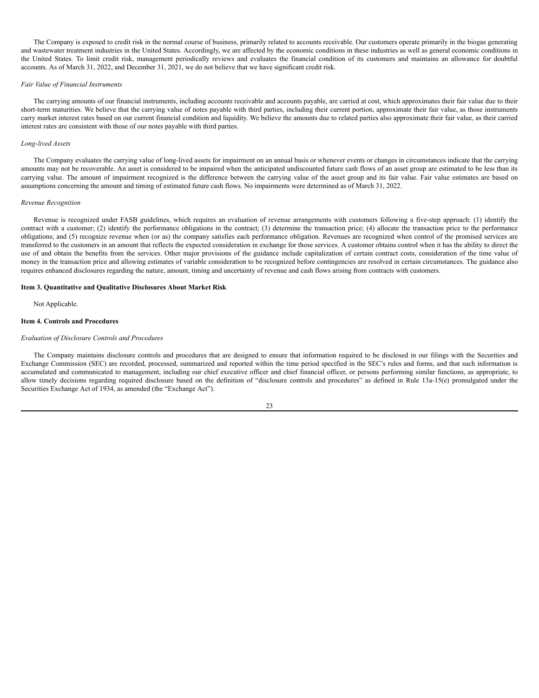The Company is exposed to credit risk in the normal course of business, primarily related to accounts receivable. Our customers operate primarily in the biogas generating and wastewater treatment industries in the United States. Accordingly, we are affected by the economic conditions in these industries as well as general economic conditions in the United States. To limit credit risk, management periodically reviews and evaluates the financial condition of its customers and maintains an allowance for doubtful accounts. As of March 31, 2022, and December 31, 2021, we do not believe that we have significant credit risk.

#### *Fair Value of Financial Instruments*

The carrying amounts of our financial instruments, including accounts receivable and accounts payable, are carried at cost, which approximates their fair value due to their short-term maturities. We believe that the carrying value of notes payable with third parties, including their current portion, approximate their fair value, as those instruments carry market interest rates based on our current financial condition and liquidity. We believe the amounts due to related parties also approximate their fair value, as their carried interest rates are consistent with those of our notes payable with third parties.

### *Long-lived Assets*

The Company evaluates the carrying value of long-lived assets for impairment on an annual basis or whenever events or changes in circumstances indicate that the carrying amounts may not be recoverable. An asset is considered to be impaired when the anticipated undiscounted future cash flows of an asset group are estimated to be less than its carrying value. The amount of impairment recognized is the difference between the carrying value of the asset group and its fair value. Fair value estimates are based on assumptions concerning the amount and timing of estimated future cash flows. No impairments were determined as of March 31, 2022.

### *Revenue Recognition*

Revenue is recognized under FASB guidelines, which requires an evaluation of revenue arrangements with customers following a five-step approach: (1) identify the contract with a customer; (2) identify the performance obligations in the contract; (3) determine the transaction price; (4) allocate the transaction price to the performance obligations; and (5) recognize revenue when (or as) the company satisfies each performance obligation. Revenues are recognized when control of the promised services are transferred to the customers in an amount that reflects the expected consideration in exchange for those services. A customer obtains control when it has the ability to direct the use of and obtain the benefits from the services. Other major provisions of the guidance include capitalization of certain contract costs, consideration of the time value of money in the transaction price and allowing estimates of variable consideration to be recognized before contingencies are resolved in certain circumstances. The guidance also requires enhanced disclosures regarding the nature, amount, timing and uncertainty of revenue and cash flows arising from contracts with customers.

#### <span id="page-22-0"></span>**Item 3. Quantitative and Qualitative Disclosures About Market Risk**

Not Applicable.

### <span id="page-22-1"></span>**Item 4. Controls and Procedures**

### *Evaluation of Disclosure Controls and Procedures*

The Company maintains disclosure controls and procedures that are designed to ensure that information required to be disclosed in our filings with the Securities and Exchange Commission (SEC) are recorded, processed, summarized and reported within the time period specified in the SEC's rules and forms, and that such information is accumulated and communicated to management, including our chief executive officer and chief financial officer, or persons performing similar functions, as appropriate, to allow timely decisions regarding required disclosure based on the definition of "disclosure controls and procedures" as defined in Rule 13a-15(e) promulgated under the Securities Exchange Act of 1934, as amended (the "Exchange Act").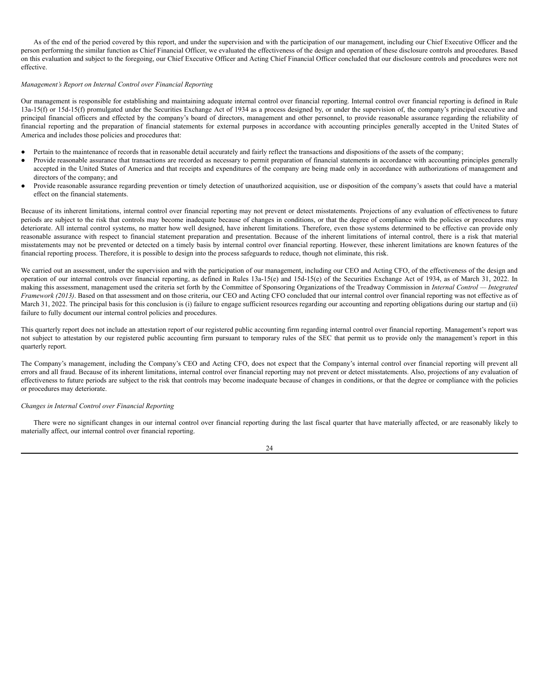As of the end of the period covered by this report, and under the supervision and with the participation of our management, including our Chief Executive Officer and the person performing the similar function as Chief Financial Officer, we evaluated the effectiveness of the design and operation of these disclosure controls and procedures. Based on this evaluation and subject to the foregoing, our Chief Executive Officer and Acting Chief Financial Officer concluded that our disclosure controls and procedures were not effective.

# *Management's Report on Internal Control over Financial Reporting*

Our management is responsible for establishing and maintaining adequate internal control over financial reporting. Internal control over financial reporting is defined in Rule 13a-15(f) or 15d-15(f) promulgated under the Securities Exchange Act of 1934 as a process designed by, or under the supervision of, the company's principal executive and principal financial officers and effected by the company's board of directors, management and other personnel, to provide reasonable assurance regarding the reliability of financial reporting and the preparation of financial statements for external purposes in accordance with accounting principles generally accepted in the United States of America and includes those policies and procedures that:

- Pertain to the maintenance of records that in reasonable detail accurately and fairly reflect the transactions and dispositions of the assets of the company;
- Provide reasonable assurance that transactions are recorded as necessary to permit preparation of financial statements in accordance with accounting principles generally accepted in the United States of America and that receipts and expenditures of the company are being made only in accordance with authorizations of management and directors of the company; and
- Provide reasonable assurance regarding prevention or timely detection of unauthorized acquisition, use or disposition of the company's assets that could have a material effect on the financial statements.

Because of its inherent limitations, internal control over financial reporting may not prevent or detect misstatements. Projections of any evaluation of effectiveness to future periods are subject to the risk that controls may become inadequate because of changes in conditions, or that the degree of compliance with the policies or procedures may deteriorate. All internal control systems, no matter how well designed, have inherent limitations. Therefore, even those systems determined to be effective can provide only reasonable assurance with respect to financial statement preparation and presentation. Because of the inherent limitations of internal control, there is a risk that material misstatements may not be prevented or detected on a timely basis by internal control over financial reporting. However, these inherent limitations are known features of the financial reporting process. Therefore, it is possible to design into the process safeguards to reduce, though not eliminate, this risk.

We carried out an assessment, under the supervision and with the participation of our management, including our CEO and Acting CFO, of the effectiveness of the design and operation of our internal controls over financial reporting, as defined in Rules 13a-15(e) and 15d-15(e) of the Securities Exchange Act of 1934, as of March 31, 2022. In making this assessment, management used the criteria set forth by the Committee of Sponsoring Organizations of the Treadway Commission in *Internal Control — Integrated Framework (2013)*. Based on that assessment and on those criteria, our CEO and Acting CFO concluded that our internal control over financial reporting was not effective as of March 31, 2022. The principal basis for this conclusion is (i) failure to engage sufficient resources regarding our accounting and reporting obligations during our startup and (ii) failure to fully document our internal control policies and procedures.

This quarterly report does not include an attestation report of our registered public accounting firm regarding internal control over financial reporting. Management's report was not subject to attestation by our registered public accounting firm pursuant to temporary rules of the SEC that permit us to provide only the management's report in this quarterly report.

The Company's management, including the Company's CEO and Acting CFO, does not expect that the Company's internal control over financial reporting will prevent all errors and all fraud. Because of its inherent limitations, internal control over financial reporting may not prevent or detect misstatements. Also, projections of any evaluation of effectiveness to future periods are subject to the risk that controls may become inadequate because of changes in conditions, or that the degree or compliance with the policies or procedures may deteriorate.

## *Changes in Internal Control over Financial Reporting*

There were no significant changes in our internal control over financial reporting during the last fiscal quarter that have materially affected, or are reasonably likely to materially affect, our internal control over financial reporting.

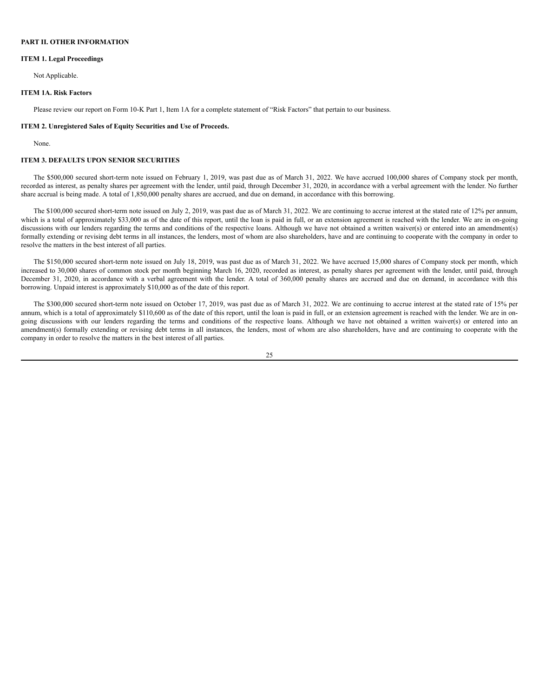### <span id="page-24-0"></span>**PART II. OTHER INFORMATION**

### <span id="page-24-1"></span>**ITEM 1. Legal Proceedings**

Not Applicable.

### <span id="page-24-2"></span>**ITEM 1A. Risk Factors**

Please review our report on Form 10-K Part 1, Item 1A for a complete statement of "Risk Factors" that pertain to our business.

### <span id="page-24-3"></span>**ITEM 2. Unregistered Sales of Equity Securities and Use of Proceeds.**

None.

### <span id="page-24-4"></span>**ITEM 3. DEFAULTS UPON SENIOR SECURITIES**

The \$500,000 secured short-term note issued on February 1, 2019, was past due as of March 31, 2022. We have accrued 100,000 shares of Company stock per month, recorded as interest, as penalty shares per agreement with the lender, until paid, through December 31, 2020, in accordance with a verbal agreement with the lender. No further share accrual is being made. A total of 1,850,000 penalty shares are accrued, and due on demand, in accordance with this borrowing.

The \$100,000 secured short-term note issued on July 2, 2019, was past due as of March 31, 2022. We are continuing to accrue interest at the stated rate of 12% per annum, which is a total of approximately \$33,000 as of the date of this report, until the loan is paid in full, or an extension agreement is reached with the lender. We are in on-going discussions with our lenders regarding the terms and conditions of the respective loans. Although we have not obtained a written waiver(s) or entered into an amendment(s) formally extending or revising debt terms in all instances, the lenders, most of whom are also shareholders, have and are continuing to cooperate with the company in order to resolve the matters in the best interest of all parties.

The \$150,000 secured short-term note issued on July 18, 2019, was past due as of March 31, 2022. We have accrued 15,000 shares of Company stock per month, which increased to 30,000 shares of common stock per month beginning March 16, 2020, recorded as interest, as penalty shares per agreement with the lender, until paid, through December 31, 2020, in accordance with a verbal agreement with the lender. A total of 360,000 penalty shares are accrued and due on demand, in accordance with this borrowing. Unpaid interest is approximately \$10,000 as of the date of this report.

The \$300,000 secured short-term note issued on October 17, 2019, was past due as of March 31, 2022. We are continuing to accrue interest at the stated rate of 15% per annum, which is a total of approximately \$110,600 as of the date of this report, until the loan is paid in full, or an extension agreement is reached with the lender. We are in ongoing discussions with our lenders regarding the terms and conditions of the respective loans. Although we have not obtained a written waiver(s) or entered into an amendment(s) formally extending or revising debt terms in all instances, the lenders, most of whom are also shareholders, have and are continuing to cooperate with the company in order to resolve the matters in the best interest of all parties.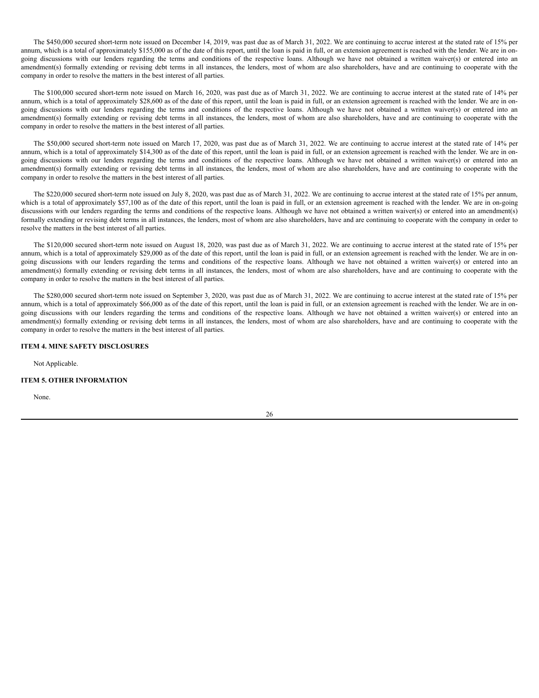The \$450,000 secured short-term note issued on December 14, 2019, was past due as of March 31, 2022. We are continuing to accrue interest at the stated rate of 15% per annum, which is a total of approximately \$155,000 as of the date of this report, until the loan is paid in full, or an extension agreement is reached with the lender. We are in ongoing discussions with our lenders regarding the terms and conditions of the respective loans. Although we have not obtained a written waiver(s) or entered into an amendment(s) formally extending or revising debt terms in all instances, the lenders, most of whom are also shareholders, have and are continuing to cooperate with the company in order to resolve the matters in the best interest of all parties.

The \$100,000 secured short-term note issued on March 16, 2020, was past due as of March 31, 2022. We are continuing to accrue interest at the stated rate of 14% per annum, which is a total of approximately \$28,600 as of the date of this report, until the loan is paid in full, or an extension agreement is reached with the lender. We are in ongoing discussions with our lenders regarding the terms and conditions of the respective loans. Although we have not obtained a written waiver(s) or entered into an amendment(s) formally extending or revising debt terms in all instances, the lenders, most of whom are also shareholders, have and are continuing to cooperate with the company in order to resolve the matters in the best interest of all parties.

The \$50,000 secured short-term note issued on March 17, 2020, was past due as of March 31, 2022. We are continuing to accrue interest at the stated rate of 14% per annum, which is a total of approximately \$14,300 as of the date of this report, until the loan is paid in full, or an extension agreement is reached with the lender. We are in ongoing discussions with our lenders regarding the terms and conditions of the respective loans. Although we have not obtained a written waiver(s) or entered into an amendment(s) formally extending or revising debt terms in all instances, the lenders, most of whom are also shareholders, have and are continuing to cooperate with the company in order to resolve the matters in the best interest of all parties.

The \$220,000 secured short-term note issued on July 8, 2020, was past due as of March 31, 2022. We are continuing to accrue interest at the stated rate of 15% per annum, which is a total of approximately \$57,100 as of the date of this report, until the loan is paid in full, or an extension agreement is reached with the lender. We are in on-going discussions with our lenders regarding the terms and conditions of the respective loans. Although we have not obtained a written waiver(s) or entered into an amendment(s) formally extending or revising debt terms in all instances, the lenders, most of whom are also shareholders, have and are continuing to cooperate with the company in order to resolve the matters in the best interest of all parties.

The \$120,000 secured short-term note issued on August 18, 2020, was past due as of March 31, 2022. We are continuing to accrue interest at the stated rate of 15% per annum, which is a total of approximately \$29,000 as of the date of this report, until the loan is paid in full, or an extension agreement is reached with the lender. We are in ongoing discussions with our lenders regarding the terms and conditions of the respective loans. Although we have not obtained a written waiver(s) or entered into an amendment(s) formally extending or revising debt terms in all instances, the lenders, most of whom are also shareholders, have and are continuing to cooperate with the company in order to resolve the matters in the best interest of all parties.

The \$280,000 secured short-term note issued on September 3, 2020, was past due as of March 31, 2022. We are continuing to accrue interest at the stated rate of 15% per annum, which is a total of approximately \$66,000 as of the date of this report, until the loan is paid in full, or an extension agreement is reached with the lender. We are in ongoing discussions with our lenders regarding the terms and conditions of the respective loans. Although we have not obtained a written waiver(s) or entered into an amendment(s) formally extending or revising debt terms in all instances, the lenders, most of whom are also shareholders, have and are continuing to cooperate with the company in order to resolve the matters in the best interest of all parties.

### <span id="page-25-0"></span>**ITEM 4. MINE SAFETY DISCLOSURES**

Not Applicable.

# <span id="page-25-1"></span>**ITEM 5. OTHER INFORMATION**

None.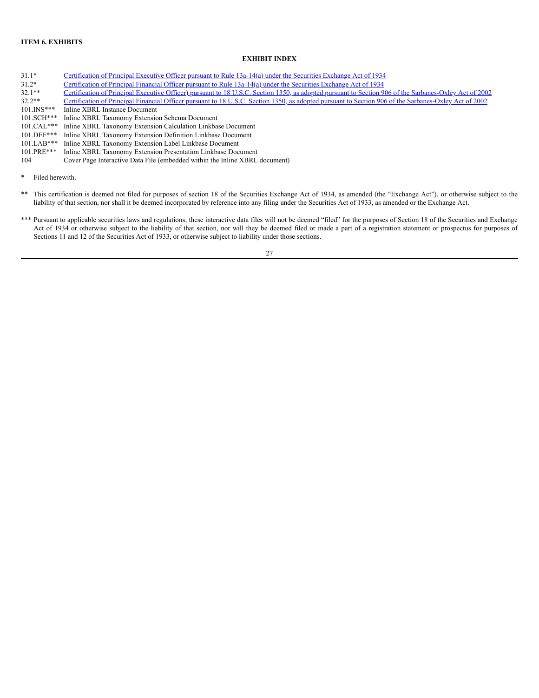### <span id="page-26-0"></span>**ITEM 6. EXHIBITS**

# **EXHIBIT INDEX**

31.1\* [Certification](https://s3.amazonaws.com/content.stockpr.com/sec/0001493152-22-013712/ex31-1.htm) of Principal Executive Officer pursuant to Rule 13a-14(a) under the Securities Exchange Act of 1934<br>31.2\* Certification of Principal Financial Officer pursuant to Rule 13a-14(a) under the Securities Exc

31.2\* [Certification](https://s3.amazonaws.com/content.stockpr.com/sec/0001493152-22-013712/ex31-2.htm) of Principal Financial Officer pursuant to Rule 13a-14(a) under the Securities Exchange Act of 1934<br>32.1\*\* Certification of Principal Executive Officer) pursuant to 18 U.S.C. Section 1350, as adopted pu

32.1\*\* Certification of Principal Executive Officer) pursuant to 18 U.S.C. Section 1350, as adopted pursuant to Section 906 of the [Sarbanes-Oxley](https://s3.amazonaws.com/content.stockpr.com/sec/0001493152-22-013712/ex32-1.htm) Act of 2002<br>32.2\*\* Certification of Principal Financial Officer pursuant to

32.2\*\* Certification of Principal Financial Officer pursuant to 18 U.S.C. Section 1350, as adopted pursuant to Section 906 of the [Sarbanes-Oxley](https://s3.amazonaws.com/content.stockpr.com/sec/0001493152-22-013712/ex32-2.htm) Act of 2002

- 101.INS\*\*\* Inline XBRL Instance Document<br>101.SCH\*\*\* Inline XBRL Taxonomy Extensio
- 101.SCH\*\*\* Inline XBRL Taxonomy Extension Schema Document 101.CAL\*\*\* Inline XBRL Taxonomy Extension Calculation Linkba
- 101.CAL\*\*\* Inline XBRL Taxonomy Extension Calculation Linkbase Document 101.DEF\*\*\* Inline XBRL Taxonomy Extension Definition Linkbase Document
- Inline XBRL Taxonomy Extension Definition Linkbase Document
- 101.LAB\*\*\* Inline XBRL Taxonomy Extension Label Linkbase Document 101.PRE\*\*\* Inline XBRL Taxonomy Extension Presentation Linkbase Doc
- Inline XBRL Taxonomy Extension Presentation Linkbase Document
- 104 Cover Page Interactive Data File (embedded within the Inline XBRL document)

- \*\* This certification is deemed not filed for purposes of section 18 of the Securities Exchange Act of 1934, as amended (the "Exchange Act"), or otherwise subject to the liability of that section, nor shall it be deemed incorporated by reference into any filing under the Securities Act of 1933, as amended or the Exchange Act.
- \*\*\* Pursuant to applicable securities laws and regulations, these interactive data files will not be deemed "filed" for the purposes of Section 18 of the Securities and Exchange Act of 1934 or otherwise subject to the liability of that section, nor will they be deemed filed or made a part of a registration statement or prospectus for purposes of Sections 11 and 12 of the Securities Act of 1933, or otherwise subject to liability under those sections.

<sup>\*</sup> Filed herewith.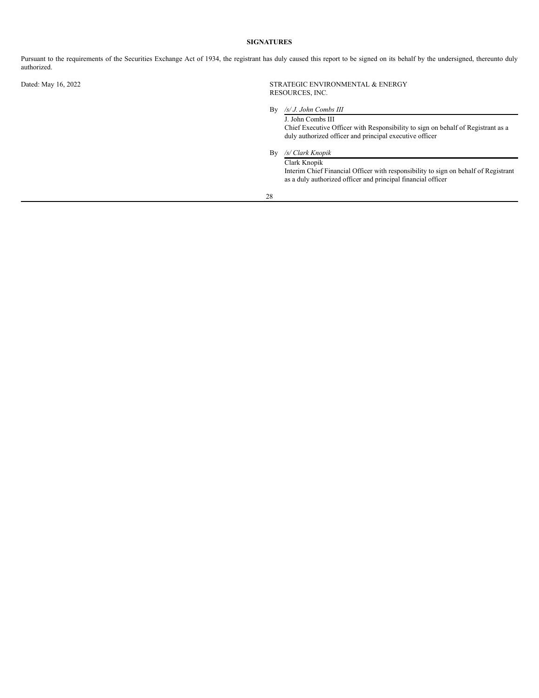# **SIGNATURES**

<span id="page-27-0"></span>Pursuant to the requirements of the Securities Exchange Act of 1934, the registrant has duly caused this report to be signed on its behalf by the undersigned, thereunto duly authorized.

Dated: May 16, 2022 STRATEGIC ENVIRONMENTAL & ENERGY RESOURCES, INC.

# By */s/ J. John Combs III*

J. John Combs III Chief Executive Officer with Responsibility to sign on behalf of Registrant as a duly authorized officer and principal executive officer

### By */s/ Clark Knopik*

Clark Knopik Interim Chief Financial Officer with responsibility to sign on behalf of Registrant as a duly authorized officer and principal financial officer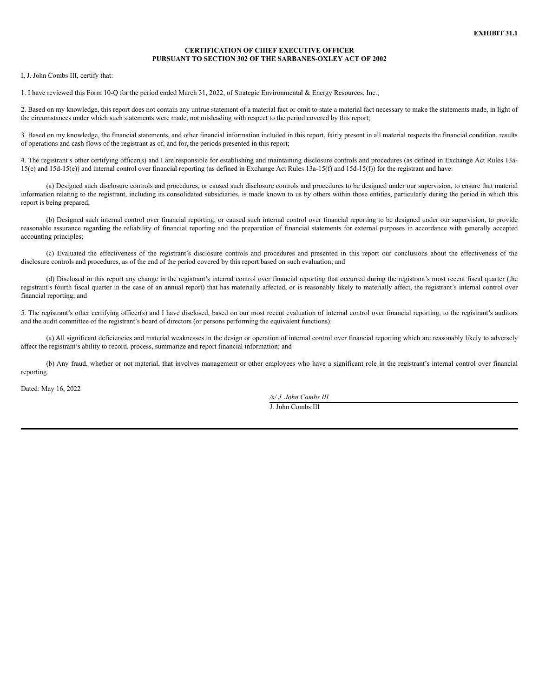# **CERTIFICATION OF CHIEF EXECUTIVE OFFICER PURSUANT TO SECTION 302 OF THE SARBANES-OXLEY ACT OF 2002**

I, J. John Combs III, certify that:

1. I have reviewed this Form 10-Q for the period ended March 31, 2022, of Strategic Environmental & Energy Resources, Inc.;

2. Based on my knowledge, this report does not contain any untrue statement of a material fact or omit to state a material fact necessary to make the statements made, in light of the circumstances under which such statements were made, not misleading with respect to the period covered by this report;

3. Based on my knowledge, the financial statements, and other financial information included in this report, fairly present in all material respects the financial condition, results of operations and cash flows of the registrant as of, and for, the periods presented in this report;

4. The registrant's other certifying officer(s) and I are responsible for establishing and maintaining disclosure controls and procedures (as defined in Exchange Act Rules 13a-15(e) and 15d-15(e)) and internal control over financial reporting (as defined in Exchange Act Rules 13a-15(f) and 15d-15(f)) for the registrant and have:

(a) Designed such disclosure controls and procedures, or caused such disclosure controls and procedures to be designed under our supervision, to ensure that material information relating to the registrant, including its consolidated subsidiaries, is made known to us by others within those entities, particularly during the period in which this report is being prepared;

(b) Designed such internal control over financial reporting, or caused such internal control over financial reporting to be designed under our supervision, to provide reasonable assurance regarding the reliability of financial reporting and the preparation of financial statements for external purposes in accordance with generally accepted accounting principles;

(c) Evaluated the effectiveness of the registrant's disclosure controls and procedures and presented in this report our conclusions about the effectiveness of the disclosure controls and procedures, as of the end of the period covered by this report based on such evaluation; and

(d) Disclosed in this report any change in the registrant's internal control over financial reporting that occurred during the registrant's most recent fiscal quarter (the registrant's fourth fiscal quarter in the case of an annual report) that has materially affected, or is reasonably likely to materially affect, the registrant's internal control over financial reporting; and

5. The registrant's other certifying officer(s) and I have disclosed, based on our most recent evaluation of internal control over financial reporting, to the registrant's auditors and the audit committee of the registrant's board of directors (or persons performing the equivalent functions):

(a) All significant deficiencies and material weaknesses in the design or operation of internal control over financial reporting which are reasonably likely to adversely affect the registrant's ability to record, process, summarize and report financial information; and

(b) Any fraud, whether or not material, that involves management or other employees who have a significant role in the registrant's internal control over financial reporting.

Dated: May 16, 2022

*/s/ J. John Combs III*

J. John Combs III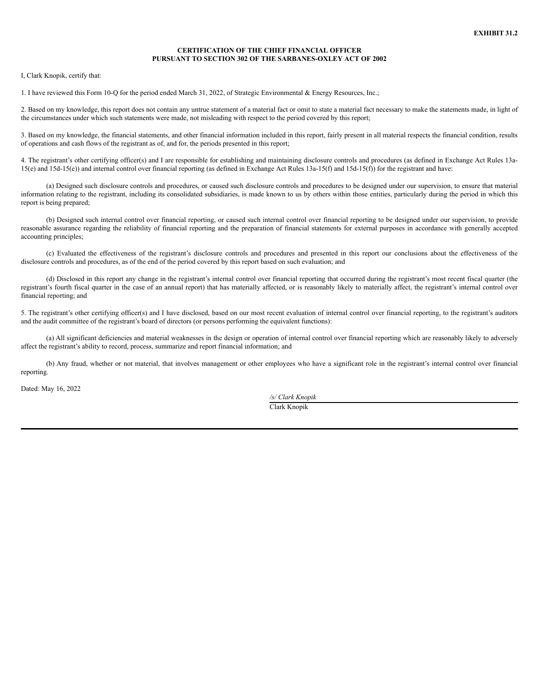# **CERTIFICATION OF THE CHIEF FINANCIAL OFFICER PURSUANT TO SECTION 302 OF THE SARBANES-OXLEY ACT OF 2002**

I, Clark Knopik, certify that:

1. I have reviewed this Form 10-Q for the period ended March 31, 2022, of Strategic Environmental & Energy Resources, Inc.;

2. Based on my knowledge, this report does not contain any untrue statement of a material fact or omit to state a material fact necessary to make the statements made, in light of the circumstances under which such statements were made, not misleading with respect to the period covered by this report;

3. Based on my knowledge, the financial statements, and other financial information included in this report, fairly present in all material respects the financial condition, results of operations and cash flows of the registrant as of, and for, the periods presented in this report;

4. The registrant's other certifying officer(s) and I are responsible for establishing and maintaining disclosure controls and procedures (as defined in Exchange Act Rules 13a-15(e) and 15d-15(e)) and internal control over financial reporting (as defined in Exchange Act Rules 13a-15(f) and 15d-15(f)) for the registrant and have:

(a) Designed such disclosure controls and procedures, or caused such disclosure controls and procedures to be designed under our supervision, to ensure that material information relating to the registrant, including its consolidated subsidiaries, is made known to us by others within those entities, particularly during the period in which this report is being prepared;

(b) Designed such internal control over financial reporting, or caused such internal control over financial reporting to be designed under our supervision, to provide reasonable assurance regarding the reliability of financial reporting and the preparation of financial statements for external purposes in accordance with generally accepted accounting principles;

(c) Evaluated the effectiveness of the registrant's disclosure controls and procedures and presented in this report our conclusions about the effectiveness of the disclosure controls and procedures, as of the end of the period covered by this report based on such evaluation; and

(d) Disclosed in this report any change in the registrant's internal control over financial reporting that occurred during the registrant's most recent fiscal quarter (the registrant's fourth fiscal quarter in the case of an annual report) that has materially affected, or is reasonably likely to materially affect, the registrant's internal control over financial reporting; and

5. The registrant's other certifying officer(s) and I have disclosed, based on our most recent evaluation of internal control over financial reporting, to the registrant's auditors and the audit committee of the registrant's board of directors (or persons performing the equivalent functions):

(a) All significant deficiencies and material weaknesses in the design or operation of internal control over financial reporting which are reasonably likely to adversely affect the registrant's ability to record, process, summarize and report financial information; and

(b) Any fraud, whether or not material, that involves management or other employees who have a significant role in the registrant's internal control over financial reporting.

Dated: May 16, 2022

*/s/ Clark Knopik*

Clark Knopik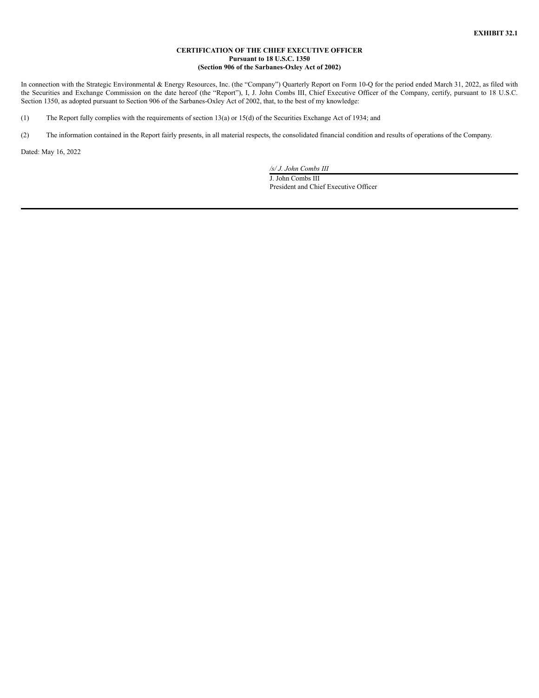# **CERTIFICATION OF THE CHIEF EXECUTIVE OFFICER Pursuant to 18 U.S.C. 1350 (Section 906 of the Sarbanes-Oxley Act of 2002)**

In connection with the Strategic Environmental & Energy Resources, Inc. (the "Company") Quarterly Report on Form 10-Q for the period ended March 31, 2022, as filed with the Securities and Exchange Commission on the date hereof (the "Report"), I, J. John Combs III, Chief Executive Officer of the Company, certify, pursuant to 18 U.S.C. Section 1350, as adopted pursuant to Section 906 of the Sarbanes-Oxley Act of 2002, that, to the best of my knowledge:

(1) The Report fully complies with the requirements of section 13(a) or 15(d) of the Securities Exchange Act of 1934; and

(2) The information contained in the Report fairly presents, in all material respects, the consolidated financial condition and results of operations of the Company.

Dated: May 16, 2022

*/s/ J. John Combs III*

J. John Combs III President and Chief Executive Officer